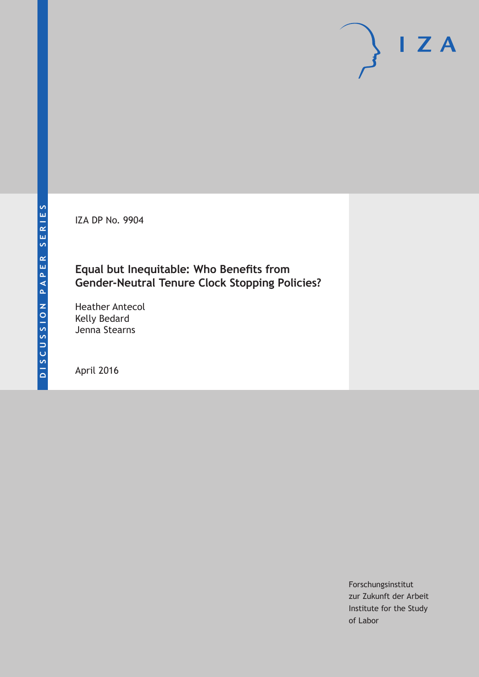IZA DP No. 9904

# **Equal but Inequitable: Who Benefits from Gender-Neutral Tenure Clock Stopping Policies?**

Heather Antecol Kelly Bedard Jenna Stearns

April 2016

Forschungsinstitut zur Zukunft der Arbeit Institute for the Study of Labor

 $I Z A$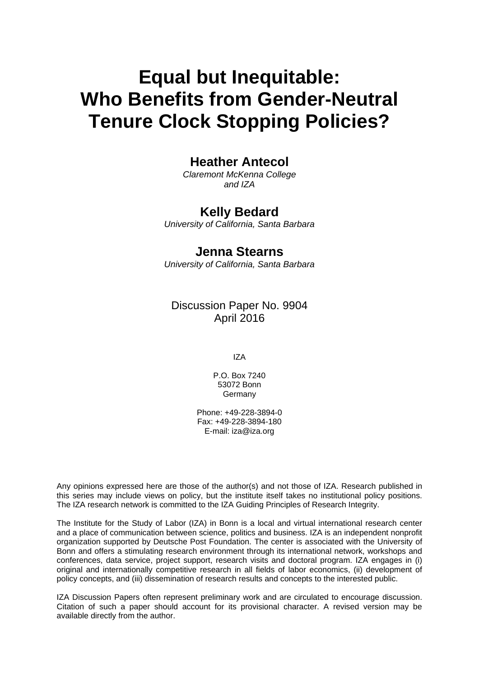# **Equal but Inequitable: Who Benefits from Gender-Neutral Tenure Clock Stopping Policies?**

# **Heather Antecol**

*Claremont McKenna College and IZA* 

# **Kelly Bedard**

*University of California, Santa Barbara* 

# **Jenna Stearns**

*University of California, Santa Barbara*

# Discussion Paper No. 9904 April 2016

IZA

P.O. Box 7240 53072 Bonn **Germany** 

Phone: +49-228-3894-0 Fax: +49-228-3894-180 E-mail: iza@iza.org

Any opinions expressed here are those of the author(s) and not those of IZA. Research published in this series may include views on policy, but the institute itself takes no institutional policy positions. The IZA research network is committed to the IZA Guiding Principles of Research Integrity.

The Institute for the Study of Labor (IZA) in Bonn is a local and virtual international research center and a place of communication between science, politics and business. IZA is an independent nonprofit organization supported by Deutsche Post Foundation. The center is associated with the University of Bonn and offers a stimulating research environment through its international network, workshops and conferences, data service, project support, research visits and doctoral program. IZA engages in (i) original and internationally competitive research in all fields of labor economics, (ii) development of policy concepts, and (iii) dissemination of research results and concepts to the interested public.

IZA Discussion Papers often represent preliminary work and are circulated to encourage discussion. Citation of such a paper should account for its provisional character. A revised version may be available directly from the author.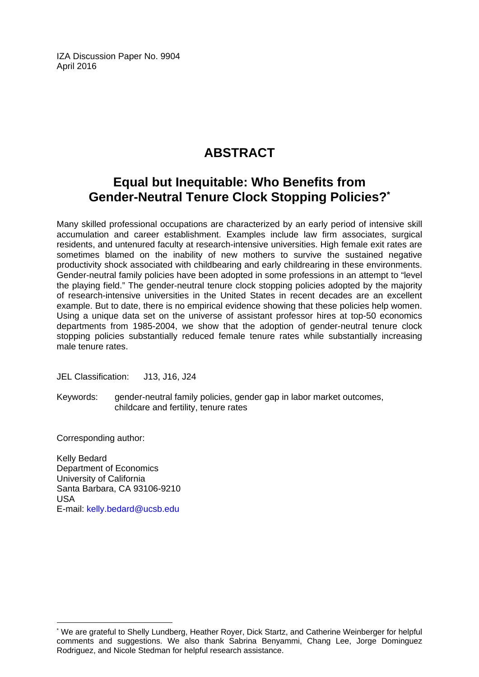IZA Discussion Paper No. 9904 April 2016

# **ABSTRACT**

# **Equal but Inequitable: Who Benefits from Gender-Neutral Tenure Clock Stopping Policies?\***

Many skilled professional occupations are characterized by an early period of intensive skill accumulation and career establishment. Examples include law firm associates, surgical residents, and untenured faculty at research-intensive universities. High female exit rates are sometimes blamed on the inability of new mothers to survive the sustained negative productivity shock associated with childbearing and early childrearing in these environments. Gender-neutral family policies have been adopted in some professions in an attempt to "level the playing field." The gender-neutral tenure clock stopping policies adopted by the majority of research-intensive universities in the United States in recent decades are an excellent example. But to date, there is no empirical evidence showing that these policies help women. Using a unique data set on the universe of assistant professor hires at top-50 economics departments from 1985-2004, we show that the adoption of gender-neutral tenure clock stopping policies substantially reduced female tenure rates while substantially increasing male tenure rates.

JEL Classification: J13, J16, J24

Keywords: gender-neutral family policies, gender gap in labor market outcomes, childcare and fertility, tenure rates

Corresponding author:

 $\overline{a}$ 

Kelly Bedard Department of Economics University of California Santa Barbara, CA 93106-9210 USA E-mail: kelly.bedard@ucsb.edu

<sup>\*</sup> We are grateful to Shelly Lundberg, Heather Royer, Dick Startz, and Catherine Weinberger for helpful comments and suggestions. We also thank Sabrina Benyammi, Chang Lee, Jorge Dominguez Rodriguez, and Nicole Stedman for helpful research assistance.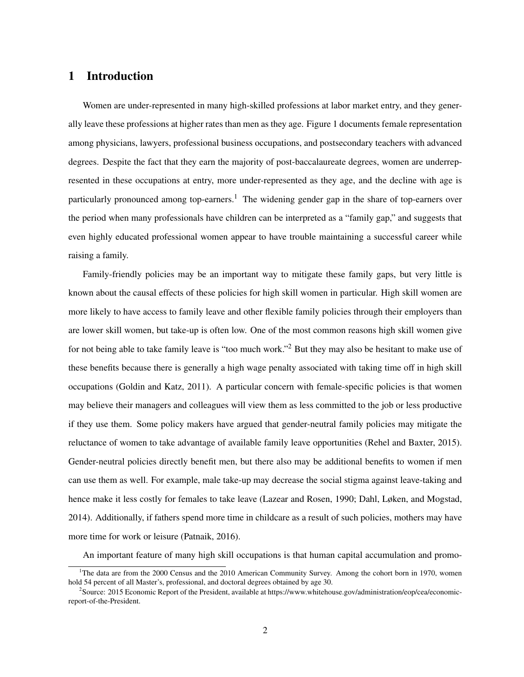# 1 Introduction

Women are under-represented in many high-skilled professions at labor market entry, and they generally leave these professions at higher rates than men as they age. Figure 1 documents female representation among physicians, lawyers, professional business occupations, and postsecondary teachers with advanced degrees. Despite the fact that they earn the majority of post-baccalaureate degrees, women are underrepresented in these occupations at entry, more under-represented as they age, and the decline with age is particularly pronounced among top-earners.<sup>1</sup> The widening gender gap in the share of top-earners over the period when many professionals have children can be interpreted as a "family gap," and suggests that even highly educated professional women appear to have trouble maintaining a successful career while raising a family.

Family-friendly policies may be an important way to mitigate these family gaps, but very little is known about the causal effects of these policies for high skill women in particular. High skill women are more likely to have access to family leave and other flexible family policies through their employers than are lower skill women, but take-up is often low. One of the most common reasons high skill women give for not being able to take family leave is "too much work."<sup>2</sup> But they may also be hesitant to make use of these benefits because there is generally a high wage penalty associated with taking time off in high skill occupations (Goldin and Katz, 2011). A particular concern with female-specific policies is that women may believe their managers and colleagues will view them as less committed to the job or less productive if they use them. Some policy makers have argued that gender-neutral family policies may mitigate the reluctance of women to take advantage of available family leave opportunities (Rehel and Baxter, 2015). Gender-neutral policies directly benefit men, but there also may be additional benefits to women if men can use them as well. For example, male take-up may decrease the social stigma against leave-taking and hence make it less costly for females to take leave (Lazear and Rosen, 1990; Dahl, Løken, and Mogstad, 2014). Additionally, if fathers spend more time in childcare as a result of such policies, mothers may have more time for work or leisure (Patnaik, 2016).

An important feature of many high skill occupations is that human capital accumulation and promo-

<sup>&</sup>lt;sup>1</sup>The data are from the 2000 Census and the 2010 American Community Survey. Among the cohort born in 1970, women hold 54 percent of all Master's, professional, and doctoral degrees obtained by age 30.

<sup>&</sup>lt;sup>2</sup>Source: 2015 Economic Report of the President, available at https://www.whitehouse.gov/administration/eop/cea/economicreport-of-the-President.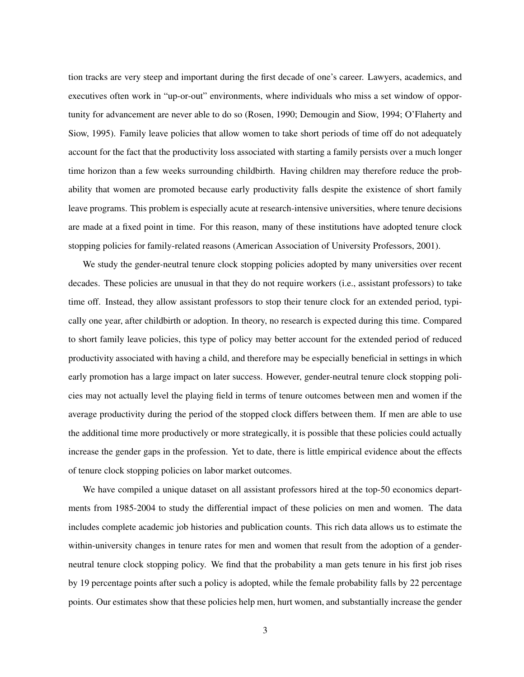tion tracks are very steep and important during the first decade of one's career. Lawyers, academics, and executives often work in "up-or-out" environments, where individuals who miss a set window of opportunity for advancement are never able to do so (Rosen, 1990; Demougin and Siow, 1994; O'Flaherty and Siow, 1995). Family leave policies that allow women to take short periods of time off do not adequately account for the fact that the productivity loss associated with starting a family persists over a much longer time horizon than a few weeks surrounding childbirth. Having children may therefore reduce the probability that women are promoted because early productivity falls despite the existence of short family leave programs. This problem is especially acute at research-intensive universities, where tenure decisions are made at a fixed point in time. For this reason, many of these institutions have adopted tenure clock stopping policies for family-related reasons (American Association of University Professors, 2001).

We study the gender-neutral tenure clock stopping policies adopted by many universities over recent decades. These policies are unusual in that they do not require workers (i.e., assistant professors) to take time off. Instead, they allow assistant professors to stop their tenure clock for an extended period, typically one year, after childbirth or adoption. In theory, no research is expected during this time. Compared to short family leave policies, this type of policy may better account for the extended period of reduced productivity associated with having a child, and therefore may be especially beneficial in settings in which early promotion has a large impact on later success. However, gender-neutral tenure clock stopping policies may not actually level the playing field in terms of tenure outcomes between men and women if the average productivity during the period of the stopped clock differs between them. If men are able to use the additional time more productively or more strategically, it is possible that these policies could actually increase the gender gaps in the profession. Yet to date, there is little empirical evidence about the effects of tenure clock stopping policies on labor market outcomes.

We have compiled a unique dataset on all assistant professors hired at the top-50 economics departments from 1985-2004 to study the differential impact of these policies on men and women. The data includes complete academic job histories and publication counts. This rich data allows us to estimate the within-university changes in tenure rates for men and women that result from the adoption of a genderneutral tenure clock stopping policy. We find that the probability a man gets tenure in his first job rises by 19 percentage points after such a policy is adopted, while the female probability falls by 22 percentage points. Our estimates show that these policies help men, hurt women, and substantially increase the gender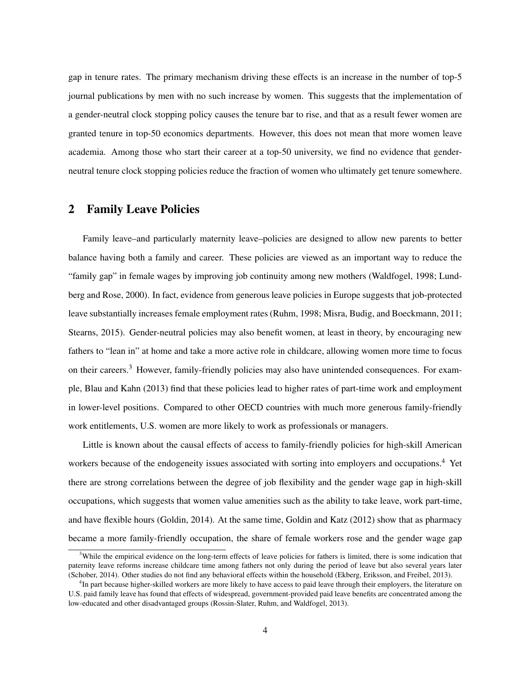gap in tenure rates. The primary mechanism driving these effects is an increase in the number of top-5 journal publications by men with no such increase by women. This suggests that the implementation of a gender-neutral clock stopping policy causes the tenure bar to rise, and that as a result fewer women are granted tenure in top-50 economics departments. However, this does not mean that more women leave academia. Among those who start their career at a top-50 university, we find no evidence that genderneutral tenure clock stopping policies reduce the fraction of women who ultimately get tenure somewhere.

# 2 Family Leave Policies

Family leave–and particularly maternity leave–policies are designed to allow new parents to better balance having both a family and career. These policies are viewed as an important way to reduce the "family gap" in female wages by improving job continuity among new mothers (Waldfogel, 1998; Lundberg and Rose, 2000). In fact, evidence from generous leave policies in Europe suggests that job-protected leave substantially increases female employment rates (Ruhm, 1998; Misra, Budig, and Boeckmann, 2011; Stearns, 2015). Gender-neutral policies may also benefit women, at least in theory, by encouraging new fathers to "lean in" at home and take a more active role in childcare, allowing women more time to focus on their careers.<sup>3</sup> However, family-friendly policies may also have unintended consequences. For example, Blau and Kahn (2013) find that these policies lead to higher rates of part-time work and employment in lower-level positions. Compared to other OECD countries with much more generous family-friendly work entitlements, U.S. women are more likely to work as professionals or managers.

Little is known about the causal effects of access to family-friendly policies for high-skill American workers because of the endogeneity issues associated with sorting into employers and occupations.<sup>4</sup> Yet there are strong correlations between the degree of job flexibility and the gender wage gap in high-skill occupations, which suggests that women value amenities such as the ability to take leave, work part-time, and have flexible hours (Goldin, 2014). At the same time, Goldin and Katz (2012) show that as pharmacy became a more family-friendly occupation, the share of female workers rose and the gender wage gap

 $3$ While the empirical evidence on the long-term effects of leave policies for fathers is limited, there is some indication that paternity leave reforms increase childcare time among fathers not only during the period of leave but also several years later (Schober, 2014). Other studies do not find any behavioral effects within the household (Ekberg, Eriksson, and Freibel, 2013).

<sup>&</sup>lt;sup>4</sup>In part because higher-skilled workers are more likely to have access to paid leave through their employers, the literature on U.S. paid family leave has found that effects of widespread, government-provided paid leave benefits are concentrated among the low-educated and other disadvantaged groups (Rossin-Slater, Ruhm, and Waldfogel, 2013).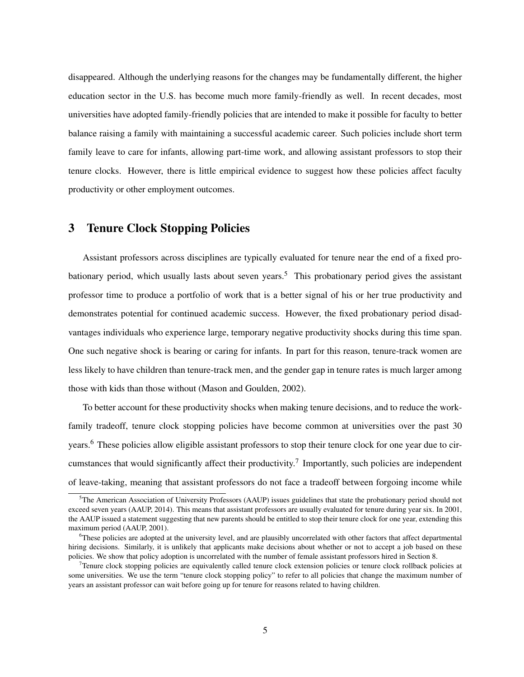disappeared. Although the underlying reasons for the changes may be fundamentally different, the higher education sector in the U.S. has become much more family-friendly as well. In recent decades, most universities have adopted family-friendly policies that are intended to make it possible for faculty to better balance raising a family with maintaining a successful academic career. Such policies include short term family leave to care for infants, allowing part-time work, and allowing assistant professors to stop their tenure clocks. However, there is little empirical evidence to suggest how these policies affect faculty productivity or other employment outcomes.

# 3 Tenure Clock Stopping Policies

Assistant professors across disciplines are typically evaluated for tenure near the end of a fixed probationary period, which usually lasts about seven years.<sup>5</sup> This probationary period gives the assistant professor time to produce a portfolio of work that is a better signal of his or her true productivity and demonstrates potential for continued academic success. However, the fixed probationary period disadvantages individuals who experience large, temporary negative productivity shocks during this time span. One such negative shock is bearing or caring for infants. In part for this reason, tenure-track women are less likely to have children than tenure-track men, and the gender gap in tenure rates is much larger among those with kids than those without (Mason and Goulden, 2002).

To better account for these productivity shocks when making tenure decisions, and to reduce the workfamily tradeoff, tenure clock stopping policies have become common at universities over the past 30 years.<sup>6</sup> These policies allow eligible assistant professors to stop their tenure clock for one year due to circumstances that would significantly affect their productivity.<sup>7</sup> Importantly, such policies are independent of leave-taking, meaning that assistant professors do not face a tradeoff between forgoing income while

<sup>5</sup>The American Association of University Professors (AAUP) issues guidelines that state the probationary period should not exceed seven years (AAUP, 2014). This means that assistant professors are usually evaluated for tenure during year six. In 2001, the AAUP issued a statement suggesting that new parents should be entitled to stop their tenure clock for one year, extending this maximum period (AAUP, 2001).

<sup>&</sup>lt;sup>6</sup>These policies are adopted at the university level, and are plausibly uncorrelated with other factors that affect departmental hiring decisions. Similarly, it is unlikely that applicants make decisions about whether or not to accept a job based on these policies. We show that policy adoption is uncorrelated with the number of female assistant professors hired in Section 8.

 $7$ Tenure clock stopping policies are equivalently called tenure clock extension policies or tenure clock rollback policies at some universities. We use the term "tenure clock stopping policy" to refer to all policies that change the maximum number of years an assistant professor can wait before going up for tenure for reasons related to having children.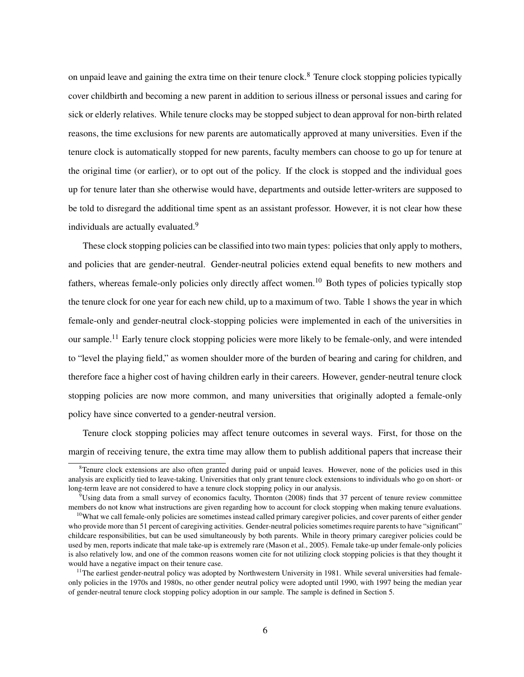on unpaid leave and gaining the extra time on their tenure clock.<sup>8</sup> Tenure clock stopping policies typically cover childbirth and becoming a new parent in addition to serious illness or personal issues and caring for sick or elderly relatives. While tenure clocks may be stopped subject to dean approval for non-birth related reasons, the time exclusions for new parents are automatically approved at many universities. Even if the tenure clock is automatically stopped for new parents, faculty members can choose to go up for tenure at the original time (or earlier), or to opt out of the policy. If the clock is stopped and the individual goes up for tenure later than she otherwise would have, departments and outside letter-writers are supposed to be told to disregard the additional time spent as an assistant professor. However, it is not clear how these individuals are actually evaluated.<sup>9</sup>

These clock stopping policies can be classified into two main types: policies that only apply to mothers, and policies that are gender-neutral. Gender-neutral policies extend equal benefits to new mothers and fathers, whereas female-only policies only directly affect women.<sup>10</sup> Both types of policies typically stop the tenure clock for one year for each new child, up to a maximum of two. Table 1 shows the year in which female-only and gender-neutral clock-stopping policies were implemented in each of the universities in our sample.<sup>11</sup> Early tenure clock stopping policies were more likely to be female-only, and were intended to "level the playing field," as women shoulder more of the burden of bearing and caring for children, and therefore face a higher cost of having children early in their careers. However, gender-neutral tenure clock stopping policies are now more common, and many universities that originally adopted a female-only policy have since converted to a gender-neutral version.

Tenure clock stopping policies may affect tenure outcomes in several ways. First, for those on the margin of receiving tenure, the extra time may allow them to publish additional papers that increase their

<sup>&</sup>lt;sup>8</sup>Tenure clock extensions are also often granted during paid or unpaid leaves. However, none of the policies used in this analysis are explicitly tied to leave-taking. Universities that only grant tenure clock extensions to individuals who go on short- or long-term leave are not considered to have a tenure clock stopping policy in our analysis.

 $9$ Using data from a small survey of economics faculty, Thornton (2008) finds that 37 percent of tenure review committee members do not know what instructions are given regarding how to account for clock stopping when making tenure evaluations.

 $10$ What we call female-only policies are sometimes instead called primary caregiver policies, and cover parents of either gender who provide more than 51 percent of caregiving activities. Gender-neutral policies sometimes require parents to have "significant" childcare responsibilities, but can be used simultaneously by both parents. While in theory primary caregiver policies could be used by men, reports indicate that male take-up is extremely rare (Mason et al., 2005). Female take-up under female-only policies is also relatively low, and one of the common reasons women cite for not utilizing clock stopping policies is that they thought it would have a negative impact on their tenure case.

 $11$ The earliest gender-neutral policy was adopted by Northwestern University in 1981. While several universities had femaleonly policies in the 1970s and 1980s, no other gender neutral policy were adopted until 1990, with 1997 being the median year of gender-neutral tenure clock stopping policy adoption in our sample. The sample is defined in Section 5.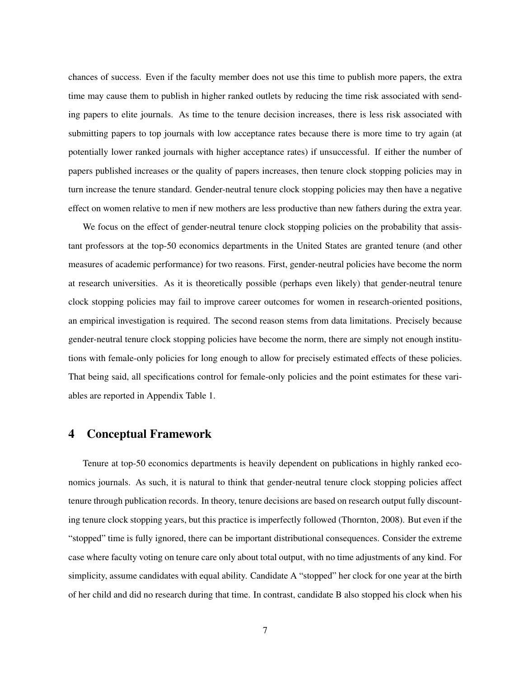chances of success. Even if the faculty member does not use this time to publish more papers, the extra time may cause them to publish in higher ranked outlets by reducing the time risk associated with sending papers to elite journals. As time to the tenure decision increases, there is less risk associated with submitting papers to top journals with low acceptance rates because there is more time to try again (at potentially lower ranked journals with higher acceptance rates) if unsuccessful. If either the number of papers published increases or the quality of papers increases, then tenure clock stopping policies may in turn increase the tenure standard. Gender-neutral tenure clock stopping policies may then have a negative effect on women relative to men if new mothers are less productive than new fathers during the extra year.

We focus on the effect of gender-neutral tenure clock stopping policies on the probability that assistant professors at the top-50 economics departments in the United States are granted tenure (and other measures of academic performance) for two reasons. First, gender-neutral policies have become the norm at research universities. As it is theoretically possible (perhaps even likely) that gender-neutral tenure clock stopping policies may fail to improve career outcomes for women in research-oriented positions, an empirical investigation is required. The second reason stems from data limitations. Precisely because gender-neutral tenure clock stopping policies have become the norm, there are simply not enough institutions with female-only policies for long enough to allow for precisely estimated effects of these policies. That being said, all specifications control for female-only policies and the point estimates for these variables are reported in Appendix Table 1.

# 4 Conceptual Framework

Tenure at top-50 economics departments is heavily dependent on publications in highly ranked economics journals. As such, it is natural to think that gender-neutral tenure clock stopping policies affect tenure through publication records. In theory, tenure decisions are based on research output fully discounting tenure clock stopping years, but this practice is imperfectly followed (Thornton, 2008). But even if the "stopped" time is fully ignored, there can be important distributional consequences. Consider the extreme case where faculty voting on tenure care only about total output, with no time adjustments of any kind. For simplicity, assume candidates with equal ability. Candidate A "stopped" her clock for one year at the birth of her child and did no research during that time. In contrast, candidate B also stopped his clock when his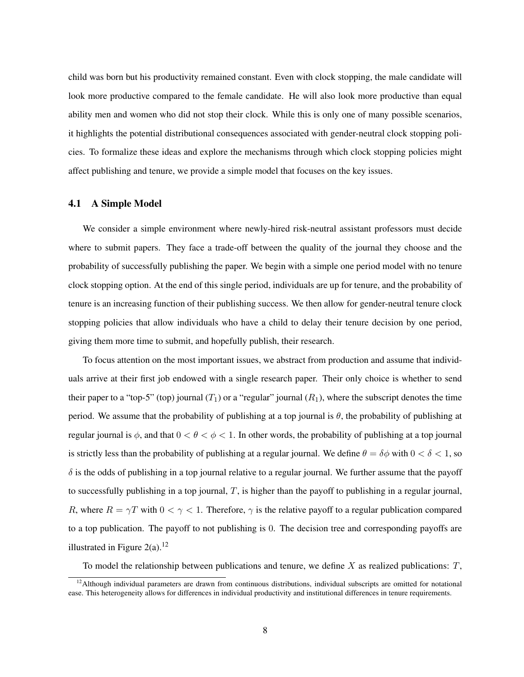child was born but his productivity remained constant. Even with clock stopping, the male candidate will look more productive compared to the female candidate. He will also look more productive than equal ability men and women who did not stop their clock. While this is only one of many possible scenarios, it highlights the potential distributional consequences associated with gender-neutral clock stopping policies. To formalize these ideas and explore the mechanisms through which clock stopping policies might affect publishing and tenure, we provide a simple model that focuses on the key issues.

#### 4.1 A Simple Model

We consider a simple environment where newly-hired risk-neutral assistant professors must decide where to submit papers. They face a trade-off between the quality of the journal they choose and the probability of successfully publishing the paper. We begin with a simple one period model with no tenure clock stopping option. At the end of this single period, individuals are up for tenure, and the probability of tenure is an increasing function of their publishing success. We then allow for gender-neutral tenure clock stopping policies that allow individuals who have a child to delay their tenure decision by one period, giving them more time to submit, and hopefully publish, their research.

To focus attention on the most important issues, we abstract from production and assume that individuals arrive at their first job endowed with a single research paper. Their only choice is whether to send their paper to a "top-5" (top) journal  $(T_1)$  or a "regular" journal  $(R_1)$ , where the subscript denotes the time period. We assume that the probability of publishing at a top journal is  $\theta$ , the probability of publishing at regular journal is  $\phi$ , and that  $0 < \theta < \phi < 1$ . In other words, the probability of publishing at a top journal is strictly less than the probability of publishing at a regular journal. We define  $\theta = \delta\phi$  with  $0 < \delta < 1$ , so  $\delta$  is the odds of publishing in a top journal relative to a regular journal. We further assume that the payoff to successfully publishing in a top journal,  $T$ , is higher than the payoff to publishing in a regular journal, R, where  $R = \gamma T$  with  $0 < \gamma < 1$ . Therefore,  $\gamma$  is the relative payoff to a regular publication compared to a top publication. The payoff to not publishing is 0. The decision tree and corresponding payoffs are illustrated in Figure  $2(a)$ .<sup>12</sup>

To model the relationship between publications and tenure, we define X as realized publications:  $T$ ,

 $12$ Although individual parameters are drawn from continuous distributions, individual subscripts are omitted for notational ease. This heterogeneity allows for differences in individual productivity and institutional differences in tenure requirements.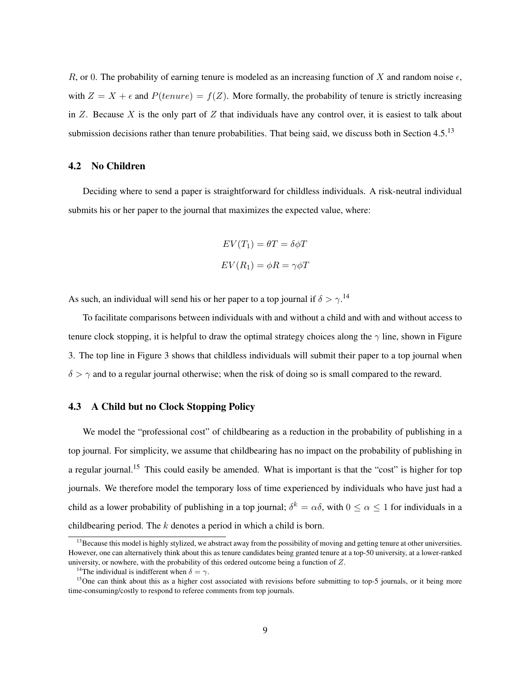R, or 0. The probability of earning tenure is modeled as an increasing function of X and random noise  $\epsilon$ , with  $Z = X + \epsilon$  and  $P(tenure) = f(Z)$ . More formally, the probability of tenure is strictly increasing in Z. Because X is the only part of Z that individuals have any control over, it is easiest to talk about submission decisions rather than tenure probabilities. That being said, we discuss both in Section 4.5.<sup>13</sup>

#### 4.2 No Children

Deciding where to send a paper is straightforward for childless individuals. A risk-neutral individual submits his or her paper to the journal that maximizes the expected value, where:

$$
EV(T_1) = \theta T = \delta \phi T
$$

$$
EV(R_1) = \phi R = \gamma \phi T
$$

As such, an individual will send his or her paper to a top journal if  $\delta > \gamma$ .<sup>14</sup>

To facilitate comparisons between individuals with and without a child and with and without access to tenure clock stopping, it is helpful to draw the optimal strategy choices along the  $\gamma$  line, shown in Figure 3. The top line in Figure 3 shows that childless individuals will submit their paper to a top journal when  $\delta > \gamma$  and to a regular journal otherwise; when the risk of doing so is small compared to the reward.

#### 4.3 A Child but no Clock Stopping Policy

We model the "professional cost" of childbearing as a reduction in the probability of publishing in a top journal. For simplicity, we assume that childbearing has no impact on the probability of publishing in a regular journal.<sup>15</sup> This could easily be amended. What is important is that the "cost" is higher for top journals. We therefore model the temporary loss of time experienced by individuals who have just had a child as a lower probability of publishing in a top journal;  $\delta^k = \alpha \delta$ , with  $0 \le \alpha \le 1$  for individuals in a childbearing period. The k denotes a period in which a child is born.

 $<sup>13</sup>$  Because this model is highly stylized, we abstract away from the possibility of moving and getting tenure at other universities.</sup> However, one can alternatively think about this as tenure candidates being granted tenure at a top-50 university, at a lower-ranked university, or nowhere, with the probability of this ordered outcome being a function of Z.

<sup>&</sup>lt;sup>14</sup>The individual is indifferent when  $\delta = \gamma$ .

 $<sup>15</sup>$ One can think about this as a higher cost associated with revisions before submitting to top-5 journals, or it being more</sup> time-consuming/costly to respond to referee comments from top journals.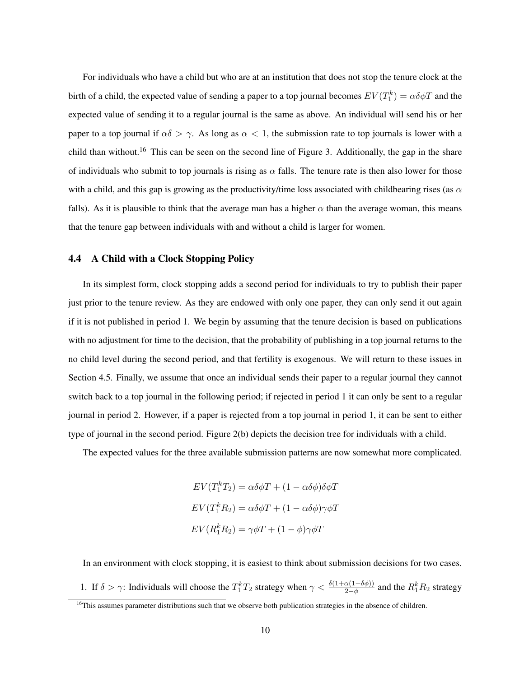For individuals who have a child but who are at an institution that does not stop the tenure clock at the birth of a child, the expected value of sending a paper to a top journal becomes  $EV(T_1^k) = \alpha \delta \phi T$  and the expected value of sending it to a regular journal is the same as above. An individual will send his or her paper to a top journal if  $\alpha\delta > \gamma$ . As long as  $\alpha < 1$ , the submission rate to top journals is lower with a child than without.<sup>16</sup> This can be seen on the second line of Figure 3. Additionally, the gap in the share of individuals who submit to top journals is rising as  $\alpha$  falls. The tenure rate is then also lower for those with a child, and this gap is growing as the productivity/time loss associated with childbearing rises (as  $\alpha$ falls). As it is plausible to think that the average man has a higher  $\alpha$  than the average woman, this means that the tenure gap between individuals with and without a child is larger for women.

### 4.4 A Child with a Clock Stopping Policy

In its simplest form, clock stopping adds a second period for individuals to try to publish their paper just prior to the tenure review. As they are endowed with only one paper, they can only send it out again if it is not published in period 1. We begin by assuming that the tenure decision is based on publications with no adjustment for time to the decision, that the probability of publishing in a top journal returns to the no child level during the second period, and that fertility is exogenous. We will return to these issues in Section 4.5. Finally, we assume that once an individual sends their paper to a regular journal they cannot switch back to a top journal in the following period; if rejected in period 1 it can only be sent to a regular journal in period 2. However, if a paper is rejected from a top journal in period 1, it can be sent to either type of journal in the second period. Figure 2(b) depicts the decision tree for individuals with a child.

The expected values for the three available submission patterns are now somewhat more complicated.

$$
EV(T_1^k T_2) = \alpha \delta \phi T + (1 - \alpha \delta \phi) \delta \phi T
$$

$$
EV(T_1^k R_2) = \alpha \delta \phi T + (1 - \alpha \delta \phi) \gamma \phi T
$$

$$
EV(R_1^k R_2) = \gamma \phi T + (1 - \phi) \gamma \phi T
$$

In an environment with clock stopping, it is easiest to think about submission decisions for two cases. 1. If  $\delta > \gamma$ : Individuals will choose the  $T_1^k T_2$  strategy when  $\gamma < \frac{\delta(1+\alpha(1-\delta\phi))}{2-\phi}$  and the  $R_1^k R_2$  strategy

<sup>&</sup>lt;sup>16</sup>This assumes parameter distributions such that we observe both publication strategies in the absence of children.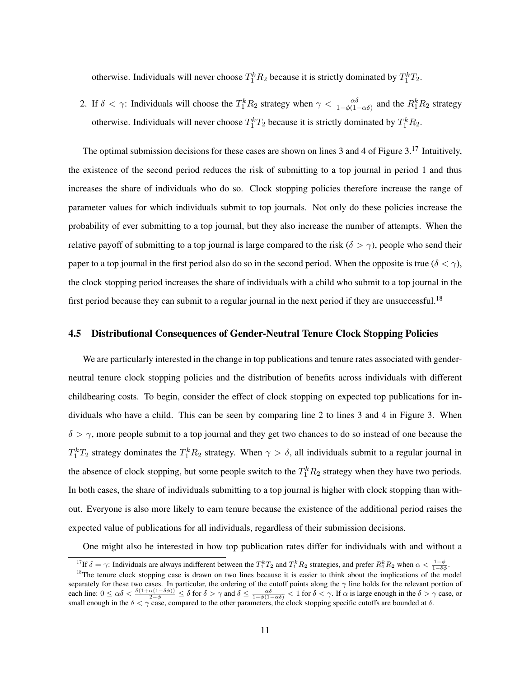otherwise. Individuals will never choose  $T_1^k R_2$  because it is strictly dominated by  $T_1^k T_2$ .

2. If  $\delta < \gamma$ : Individuals will choose the  $T_1^k R_2$  strategy when  $\gamma < \frac{\alpha \delta}{1 - \phi(1 - \alpha \delta)}$  and the  $R_1^k R_2$  strategy otherwise. Individuals will never choose  $T_1^kT_2$  because it is strictly dominated by  $T_1^kR_2$ .

The optimal submission decisions for these cases are shown on lines 3 and 4 of Figure 3.<sup>17</sup> Intuitively, the existence of the second period reduces the risk of submitting to a top journal in period 1 and thus increases the share of individuals who do so. Clock stopping policies therefore increase the range of parameter values for which individuals submit to top journals. Not only do these policies increase the probability of ever submitting to a top journal, but they also increase the number of attempts. When the relative payoff of submitting to a top journal is large compared to the risk ( $\delta > \gamma$ ), people who send their paper to a top journal in the first period also do so in the second period. When the opposite is true ( $\delta < \gamma$ ), the clock stopping period increases the share of individuals with a child who submit to a top journal in the first period because they can submit to a regular journal in the next period if they are unsuccessful.<sup>18</sup>

#### 4.5 Distributional Consequences of Gender-Neutral Tenure Clock Stopping Policies

We are particularly interested in the change in top publications and tenure rates associated with genderneutral tenure clock stopping policies and the distribution of benefits across individuals with different childbearing costs. To begin, consider the effect of clock stopping on expected top publications for individuals who have a child. This can be seen by comparing line 2 to lines 3 and 4 in Figure 3. When  $\delta > \gamma$ , more people submit to a top journal and they get two chances to do so instead of one because the  $T_1^k T_2$  strategy dominates the  $T_1^k R_2$  strategy. When  $\gamma > \delta$ , all individuals submit to a regular journal in the absence of clock stopping, but some people switch to the  $T_1^k R_2$  strategy when they have two periods. In both cases, the share of individuals submitting to a top journal is higher with clock stopping than without. Everyone is also more likely to earn tenure because the existence of the additional period raises the expected value of publications for all individuals, regardless of their submission decisions.

One might also be interested in how top publication rates differ for individuals with and without a

<sup>&</sup>lt;sup>17</sup>If  $\delta = \gamma$ : Individuals are always indifferent between the  $T_1^k T_2$  and  $T_1^k R_2$  strategies, and prefer  $R_1^k R_2$  when  $\alpha < \frac{1-\phi}{1-\delta\phi}$ .

<sup>&</sup>lt;sup>18</sup>The tenure clock stopping case is drawn on two lines because it is easier to think about the implications of the model separately for these two cases. In particular, the ordering of the cutoff points along the  $\gamma$  line holds for the relevant portion of each line:  $0 \le \alpha \delta < \frac{\delta(1+\alpha(1-\delta\phi))}{2-\phi} \le \delta$  for  $\delta > \gamma$  and  $\delta \le \frac{\alpha \delta}{1-\phi(1-\alpha\delta)} < 1$  for  $\delta < \gamma$ . If  $\alpha$  is large enough in the  $\delta > \gamma$  case, or small enough in the  $\delta < \gamma$  case, compared to the other parameters, the clock stopping specific cutoffs are bounded at  $\delta$ .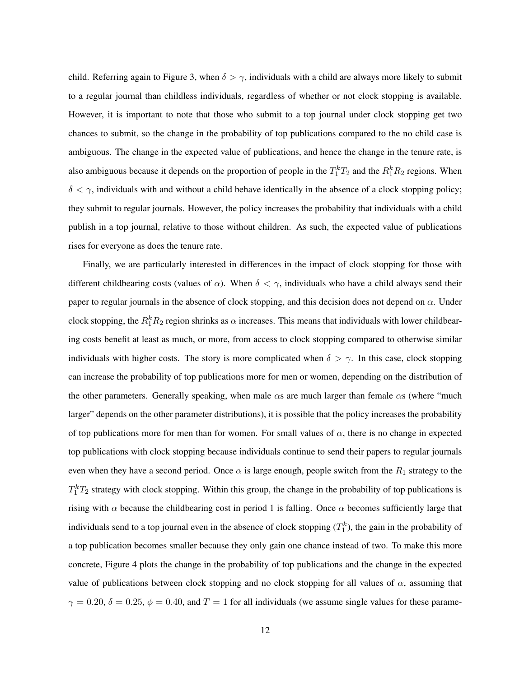child. Referring again to Figure 3, when  $\delta > \gamma$ , individuals with a child are always more likely to submit to a regular journal than childless individuals, regardless of whether or not clock stopping is available. However, it is important to note that those who submit to a top journal under clock stopping get two chances to submit, so the change in the probability of top publications compared to the no child case is ambiguous. The change in the expected value of publications, and hence the change in the tenure rate, is also ambiguous because it depends on the proportion of people in the  $T_1^kT_2$  and the  $R_1^kR_2$  regions. When  $\delta < \gamma$ , individuals with and without a child behave identically in the absence of a clock stopping policy; they submit to regular journals. However, the policy increases the probability that individuals with a child publish in a top journal, relative to those without children. As such, the expected value of publications rises for everyone as does the tenure rate.

Finally, we are particularly interested in differences in the impact of clock stopping for those with different childbearing costs (values of  $\alpha$ ). When  $\delta < \gamma$ , individuals who have a child always send their paper to regular journals in the absence of clock stopping, and this decision does not depend on  $\alpha$ . Under clock stopping, the  $R_1^k R_2$  region shrinks as  $\alpha$  increases. This means that individuals with lower childbearing costs benefit at least as much, or more, from access to clock stopping compared to otherwise similar individuals with higher costs. The story is more complicated when  $\delta > \gamma$ . In this case, clock stopping can increase the probability of top publications more for men or women, depending on the distribution of the other parameters. Generally speaking, when male  $\alpha s$  are much larger than female  $\alpha s$  (where "much" larger" depends on the other parameter distributions), it is possible that the policy increases the probability of top publications more for men than for women. For small values of  $\alpha$ , there is no change in expected top publications with clock stopping because individuals continue to send their papers to regular journals even when they have a second period. Once  $\alpha$  is large enough, people switch from the  $R_1$  strategy to the  $T_1^k T_2$  strategy with clock stopping. Within this group, the change in the probability of top publications is rising with  $\alpha$  because the childbearing cost in period 1 is falling. Once  $\alpha$  becomes sufficiently large that individuals send to a top journal even in the absence of clock stopping  $(T_1^k)$ , the gain in the probability of a top publication becomes smaller because they only gain one chance instead of two. To make this more concrete, Figure 4 plots the change in the probability of top publications and the change in the expected value of publications between clock stopping and no clock stopping for all values of  $\alpha$ , assuming that  $\gamma = 0.20, \delta = 0.25, \phi = 0.40$ , and  $T = 1$  for all individuals (we assume single values for these parame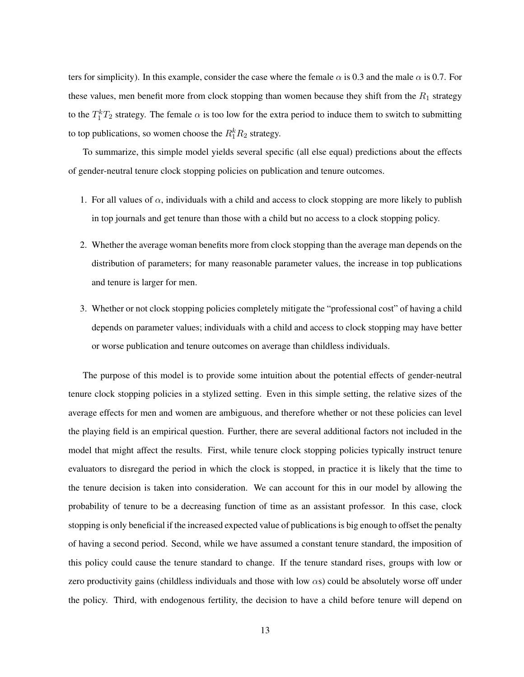ters for simplicity). In this example, consider the case where the female  $\alpha$  is 0.3 and the male  $\alpha$  is 0.7. For these values, men benefit more from clock stopping than women because they shift from the  $R_1$  strategy to the  $T_1^k T_2$  strategy. The female  $\alpha$  is too low for the extra period to induce them to switch to submitting to top publications, so women choose the  $R_1^k R_2$  strategy.

To summarize, this simple model yields several specific (all else equal) predictions about the effects of gender-neutral tenure clock stopping policies on publication and tenure outcomes.

- 1. For all values of  $\alpha$ , individuals with a child and access to clock stopping are more likely to publish in top journals and get tenure than those with a child but no access to a clock stopping policy.
- 2. Whether the average woman benefits more from clock stopping than the average man depends on the distribution of parameters; for many reasonable parameter values, the increase in top publications and tenure is larger for men.
- 3. Whether or not clock stopping policies completely mitigate the "professional cost" of having a child depends on parameter values; individuals with a child and access to clock stopping may have better or worse publication and tenure outcomes on average than childless individuals.

The purpose of this model is to provide some intuition about the potential effects of gender-neutral tenure clock stopping policies in a stylized setting. Even in this simple setting, the relative sizes of the average effects for men and women are ambiguous, and therefore whether or not these policies can level the playing field is an empirical question. Further, there are several additional factors not included in the model that might affect the results. First, while tenure clock stopping policies typically instruct tenure evaluators to disregard the period in which the clock is stopped, in practice it is likely that the time to the tenure decision is taken into consideration. We can account for this in our model by allowing the probability of tenure to be a decreasing function of time as an assistant professor. In this case, clock stopping is only beneficial if the increased expected value of publications is big enough to offset the penalty of having a second period. Second, while we have assumed a constant tenure standard, the imposition of this policy could cause the tenure standard to change. If the tenure standard rises, groups with low or zero productivity gains (childless individuals and those with low  $\alpha s$ ) could be absolutely worse off under the policy. Third, with endogenous fertility, the decision to have a child before tenure will depend on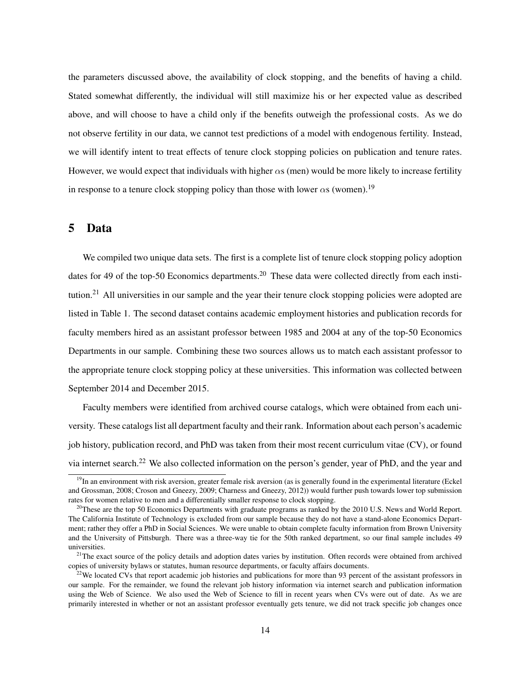the parameters discussed above, the availability of clock stopping, and the benefits of having a child. Stated somewhat differently, the individual will still maximize his or her expected value as described above, and will choose to have a child only if the benefits outweigh the professional costs. As we do not observe fertility in our data, we cannot test predictions of a model with endogenous fertility. Instead, we will identify intent to treat effects of tenure clock stopping policies on publication and tenure rates. However, we would expect that individuals with higher  $\alpha s$  (men) would be more likely to increase fertility in response to a tenure clock stopping policy than those with lower  $\alpha s$  (women).<sup>19</sup>

### 5 Data

We compiled two unique data sets. The first is a complete list of tenure clock stopping policy adoption dates for 49 of the top-50 Economics departments.<sup>20</sup> These data were collected directly from each institution.<sup>21</sup> All universities in our sample and the year their tenure clock stopping policies were adopted are listed in Table 1. The second dataset contains academic employment histories and publication records for faculty members hired as an assistant professor between 1985 and 2004 at any of the top-50 Economics Departments in our sample. Combining these two sources allows us to match each assistant professor to the appropriate tenure clock stopping policy at these universities. This information was collected between September 2014 and December 2015.

Faculty members were identified from archived course catalogs, which were obtained from each university. These catalogs list all department faculty and their rank. Information about each person's academic job history, publication record, and PhD was taken from their most recent curriculum vitae (CV), or found via internet search.<sup>22</sup> We also collected information on the person's gender, year of PhD, and the year and

 $19$ In an environment with risk aversion, greater female risk aversion (as is generally found in the experimental literature (Eckel and Grossman, 2008; Croson and Gneezy, 2009; Charness and Gneezy, 2012)) would further push towards lower top submission rates for women relative to men and a differentially smaller response to clock stopping.

 $^{20}$ These are the top 50 Economics Departments with graduate programs as ranked by the 2010 U.S. News and World Report. The California Institute of Technology is excluded from our sample because they do not have a stand-alone Economics Department; rather they offer a PhD in Social Sciences. We were unable to obtain complete faculty information from Brown University and the University of Pittsburgh. There was a three-way tie for the 50th ranked department, so our final sample includes 49 universities.

 $21$ The exact source of the policy details and adoption dates varies by institution. Often records were obtained from archived copies of university bylaws or statutes, human resource departments, or faculty affairs documents.

 $22$ We located CVs that report academic job histories and publications for more than 93 percent of the assistant professors in our sample. For the remainder, we found the relevant job history information via internet search and publication information using the Web of Science. We also used the Web of Science to fill in recent years when CVs were out of date. As we are primarily interested in whether or not an assistant professor eventually gets tenure, we did not track specific job changes once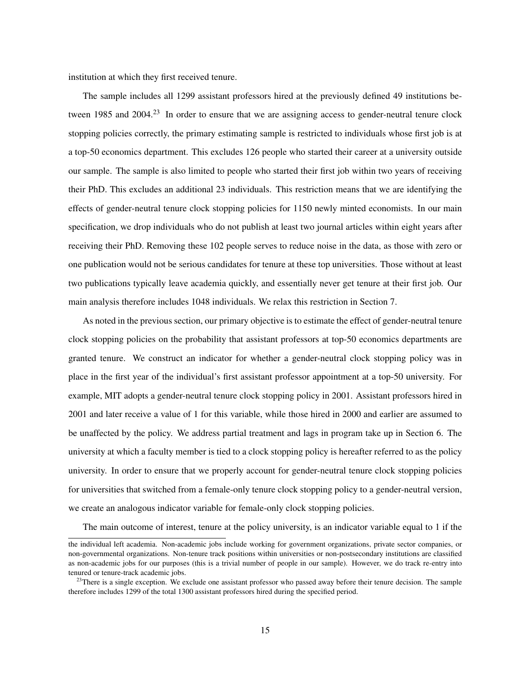institution at which they first received tenure.

The sample includes all 1299 assistant professors hired at the previously defined 49 institutions between 1985 and 2004.<sup>23</sup> In order to ensure that we are assigning access to gender-neutral tenure clock stopping policies correctly, the primary estimating sample is restricted to individuals whose first job is at a top-50 economics department. This excludes 126 people who started their career at a university outside our sample. The sample is also limited to people who started their first job within two years of receiving their PhD. This excludes an additional 23 individuals. This restriction means that we are identifying the effects of gender-neutral tenure clock stopping policies for 1150 newly minted economists. In our main specification, we drop individuals who do not publish at least two journal articles within eight years after receiving their PhD. Removing these 102 people serves to reduce noise in the data, as those with zero or one publication would not be serious candidates for tenure at these top universities. Those without at least two publications typically leave academia quickly, and essentially never get tenure at their first job. Our main analysis therefore includes 1048 individuals. We relax this restriction in Section 7.

As noted in the previous section, our primary objective is to estimate the effect of gender-neutral tenure clock stopping policies on the probability that assistant professors at top-50 economics departments are granted tenure. We construct an indicator for whether a gender-neutral clock stopping policy was in place in the first year of the individual's first assistant professor appointment at a top-50 university. For example, MIT adopts a gender-neutral tenure clock stopping policy in 2001. Assistant professors hired in 2001 and later receive a value of 1 for this variable, while those hired in 2000 and earlier are assumed to be unaffected by the policy. We address partial treatment and lags in program take up in Section 6. The university at which a faculty member is tied to a clock stopping policy is hereafter referred to as the policy university. In order to ensure that we properly account for gender-neutral tenure clock stopping policies for universities that switched from a female-only tenure clock stopping policy to a gender-neutral version, we create an analogous indicator variable for female-only clock stopping policies.

The main outcome of interest, tenure at the policy university, is an indicator variable equal to 1 if the

the individual left academia. Non-academic jobs include working for government organizations, private sector companies, or non-governmental organizations. Non-tenure track positions within universities or non-postsecondary institutions are classified as non-academic jobs for our purposes (this is a trivial number of people in our sample). However, we do track re-entry into tenured or tenure-track academic jobs.

 $23$ There is a single exception. We exclude one assistant professor who passed away before their tenure decision. The sample therefore includes 1299 of the total 1300 assistant professors hired during the specified period.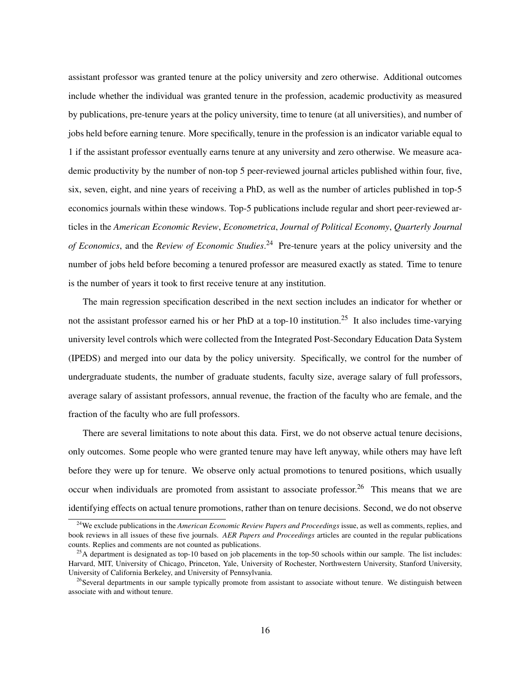assistant professor was granted tenure at the policy university and zero otherwise. Additional outcomes include whether the individual was granted tenure in the profession, academic productivity as measured by publications, pre-tenure years at the policy university, time to tenure (at all universities), and number of jobs held before earning tenure. More specifically, tenure in the profession is an indicator variable equal to 1 if the assistant professor eventually earns tenure at any university and zero otherwise. We measure academic productivity by the number of non-top 5 peer-reviewed journal articles published within four, five, six, seven, eight, and nine years of receiving a PhD, as well as the number of articles published in top-5 economics journals within these windows. Top-5 publications include regular and short peer-reviewed articles in the *American Economic Review*, *Econometrica*, *Journal of Political Economy*, *Quarterly Journal of Economics*, and the *Review of Economic Studies*. <sup>24</sup> Pre-tenure years at the policy university and the number of jobs held before becoming a tenured professor are measured exactly as stated. Time to tenure is the number of years it took to first receive tenure at any institution.

The main regression specification described in the next section includes an indicator for whether or not the assistant professor earned his or her PhD at a top-10 institution.<sup>25</sup> It also includes time-varying university level controls which were collected from the Integrated Post-Secondary Education Data System (IPEDS) and merged into our data by the policy university. Specifically, we control for the number of undergraduate students, the number of graduate students, faculty size, average salary of full professors, average salary of assistant professors, annual revenue, the fraction of the faculty who are female, and the fraction of the faculty who are full professors.

There are several limitations to note about this data. First, we do not observe actual tenure decisions, only outcomes. Some people who were granted tenure may have left anyway, while others may have left before they were up for tenure. We observe only actual promotions to tenured positions, which usually occur when individuals are promoted from assistant to associate professor.<sup>26</sup> This means that we are identifying effects on actual tenure promotions, rather than on tenure decisions. Second, we do not observe

<sup>24</sup>We exclude publications in the *American Economic Review Papers and Proceedings* issue, as well as comments, replies, and book reviews in all issues of these five journals. *AER Papers and Proceedings* articles are counted in the regular publications counts. Replies and comments are not counted as publications.

 $^{25}$ A department is designated as top-10 based on job placements in the top-50 schools within our sample. The list includes: Harvard, MIT, University of Chicago, Princeton, Yale, University of Rochester, Northwestern University, Stanford University, University of California Berkeley, and University of Pennsylvania.

<sup>&</sup>lt;sup>26</sup>Several departments in our sample typically promote from assistant to associate without tenure. We distinguish between associate with and without tenure.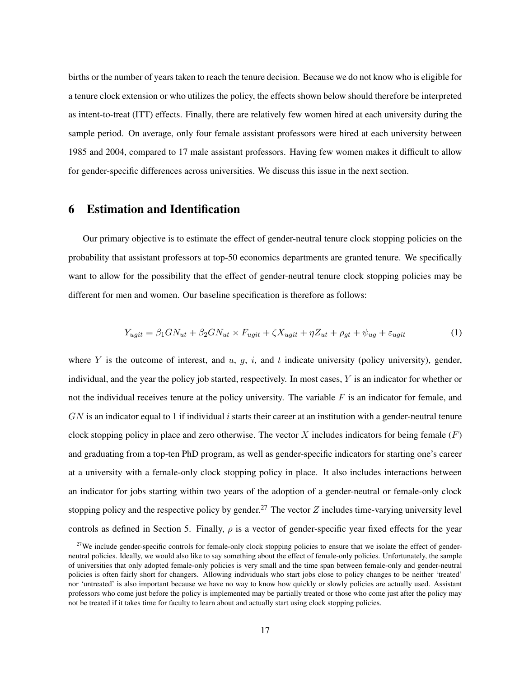births or the number of years taken to reach the tenure decision. Because we do not know who is eligible for a tenure clock extension or who utilizes the policy, the effects shown below should therefore be interpreted as intent-to-treat (ITT) effects. Finally, there are relatively few women hired at each university during the sample period. On average, only four female assistant professors were hired at each university between 1985 and 2004, compared to 17 male assistant professors. Having few women makes it difficult to allow for gender-specific differences across universities. We discuss this issue in the next section.

# 6 Estimation and Identification

Our primary objective is to estimate the effect of gender-neutral tenure clock stopping policies on the probability that assistant professors at top-50 economics departments are granted tenure. We specifically want to allow for the possibility that the effect of gender-neutral tenure clock stopping policies may be different for men and women. Our baseline specification is therefore as follows:

$$
Y_{ugit} = \beta_1 G N_{ut} + \beta_2 G N_{ut} \times F_{ugit} + \zeta X_{ugit} + \eta Z_{ut} + \rho_{gt} + \psi_{ug} + \varepsilon_{ugit}
$$
(1)

where Y is the outcome of interest, and  $u$ ,  $g$ ,  $i$ , and  $t$  indicate university (policy university), gender, individual, and the year the policy job started, respectively. In most cases, Y is an indicator for whether or not the individual receives tenure at the policy university. The variable  $F$  is an indicator for female, and  $GN$  is an indicator equal to 1 if individual i starts their career at an institution with a gender-neutral tenure clock stopping policy in place and zero otherwise. The vector X includes indicators for being female  $(F)$ and graduating from a top-ten PhD program, as well as gender-specific indicators for starting one's career at a university with a female-only clock stopping policy in place. It also includes interactions between an indicator for jobs starting within two years of the adoption of a gender-neutral or female-only clock stopping policy and the respective policy by gender.<sup>27</sup> The vector Z includes time-varying university level controls as defined in Section 5. Finally,  $\rho$  is a vector of gender-specific year fixed effects for the year

 $27$ We include gender-specific controls for female-only clock stopping policies to ensure that we isolate the effect of genderneutral policies. Ideally, we would also like to say something about the effect of female-only policies. Unfortunately, the sample of universities that only adopted female-only policies is very small and the time span between female-only and gender-neutral policies is often fairly short for changers. Allowing individuals who start jobs close to policy changes to be neither 'treated' nor 'untreated' is also important because we have no way to know how quickly or slowly policies are actually used. Assistant professors who come just before the policy is implemented may be partially treated or those who come just after the policy may not be treated if it takes time for faculty to learn about and actually start using clock stopping policies.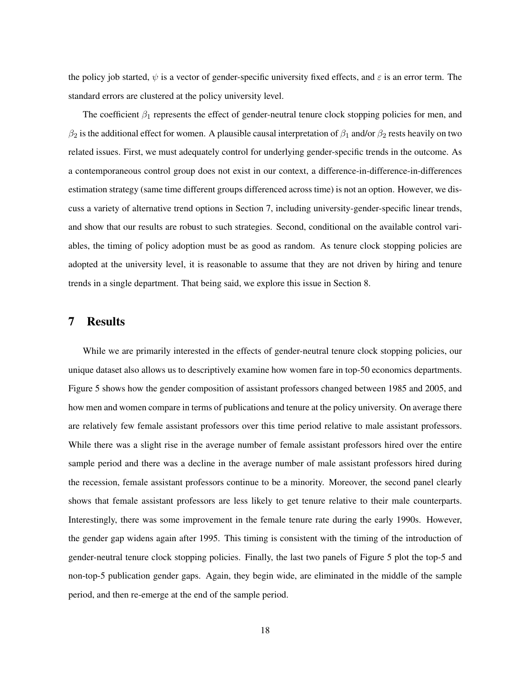the policy job started,  $\psi$  is a vector of gender-specific university fixed effects, and  $\varepsilon$  is an error term. The standard errors are clustered at the policy university level.

The coefficient  $\beta_1$  represents the effect of gender-neutral tenure clock stopping policies for men, and  $\beta_2$  is the additional effect for women. A plausible causal interpretation of  $\beta_1$  and/or  $\beta_2$  rests heavily on two related issues. First, we must adequately control for underlying gender-specific trends in the outcome. As a contemporaneous control group does not exist in our context, a difference-in-difference-in-differences estimation strategy (same time different groups differenced across time) is not an option. However, we discuss a variety of alternative trend options in Section 7, including university-gender-specific linear trends, and show that our results are robust to such strategies. Second, conditional on the available control variables, the timing of policy adoption must be as good as random. As tenure clock stopping policies are adopted at the university level, it is reasonable to assume that they are not driven by hiring and tenure trends in a single department. That being said, we explore this issue in Section 8.

### 7 Results

While we are primarily interested in the effects of gender-neutral tenure clock stopping policies, our unique dataset also allows us to descriptively examine how women fare in top-50 economics departments. Figure 5 shows how the gender composition of assistant professors changed between 1985 and 2005, and how men and women compare in terms of publications and tenure at the policy university. On average there are relatively few female assistant professors over this time period relative to male assistant professors. While there was a slight rise in the average number of female assistant professors hired over the entire sample period and there was a decline in the average number of male assistant professors hired during the recession, female assistant professors continue to be a minority. Moreover, the second panel clearly shows that female assistant professors are less likely to get tenure relative to their male counterparts. Interestingly, there was some improvement in the female tenure rate during the early 1990s. However, the gender gap widens again after 1995. This timing is consistent with the timing of the introduction of gender-neutral tenure clock stopping policies. Finally, the last two panels of Figure 5 plot the top-5 and non-top-5 publication gender gaps. Again, they begin wide, are eliminated in the middle of the sample period, and then re-emerge at the end of the sample period.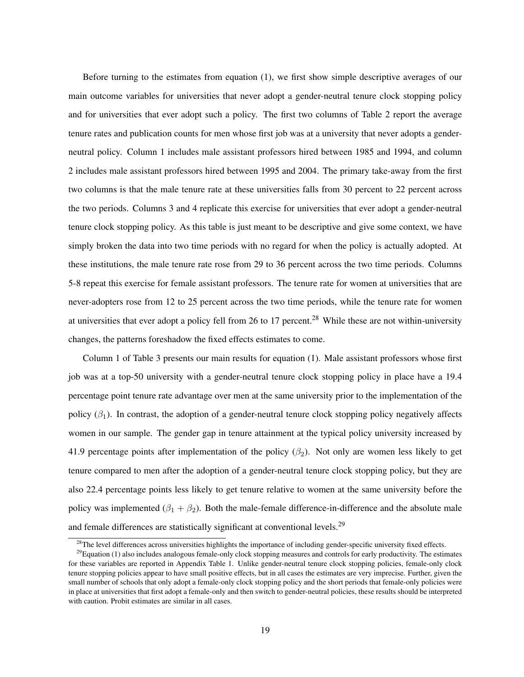Before turning to the estimates from equation (1), we first show simple descriptive averages of our main outcome variables for universities that never adopt a gender-neutral tenure clock stopping policy and for universities that ever adopt such a policy. The first two columns of Table 2 report the average tenure rates and publication counts for men whose first job was at a university that never adopts a genderneutral policy. Column 1 includes male assistant professors hired between 1985 and 1994, and column 2 includes male assistant professors hired between 1995 and 2004. The primary take-away from the first two columns is that the male tenure rate at these universities falls from 30 percent to 22 percent across the two periods. Columns 3 and 4 replicate this exercise for universities that ever adopt a gender-neutral tenure clock stopping policy. As this table is just meant to be descriptive and give some context, we have simply broken the data into two time periods with no regard for when the policy is actually adopted. At these institutions, the male tenure rate rose from 29 to 36 percent across the two time periods. Columns 5-8 repeat this exercise for female assistant professors. The tenure rate for women at universities that are never-adopters rose from 12 to 25 percent across the two time periods, while the tenure rate for women at universities that ever adopt a policy fell from 26 to 17 percent.<sup>28</sup> While these are not within-university changes, the patterns foreshadow the fixed effects estimates to come.

Column 1 of Table 3 presents our main results for equation (1). Male assistant professors whose first job was at a top-50 university with a gender-neutral tenure clock stopping policy in place have a 19.4 percentage point tenure rate advantage over men at the same university prior to the implementation of the policy  $(\beta_1)$ . In contrast, the adoption of a gender-neutral tenure clock stopping policy negatively affects women in our sample. The gender gap in tenure attainment at the typical policy university increased by 41.9 percentage points after implementation of the policy  $(\beta_2)$ . Not only are women less likely to get tenure compared to men after the adoption of a gender-neutral tenure clock stopping policy, but they are also 22.4 percentage points less likely to get tenure relative to women at the same university before the policy was implemented  $(\beta_1 + \beta_2)$ . Both the male-female difference-in-difference and the absolute male and female differences are statistically significant at conventional levels.<sup>29</sup>

 $28$ The level differences across universities highlights the importance of including gender-specific university fixed effects.

 $29$ Equation (1) also includes analogous female-only clock stopping measures and controls for early productivity. The estimates for these variables are reported in Appendix Table 1. Unlike gender-neutral tenure clock stopping policies, female-only clock tenure stopping policies appear to have small positive effects, but in all cases the estimates are very imprecise. Further, given the small number of schools that only adopt a female-only clock stopping policy and the short periods that female-only policies were in place at universities that first adopt a female-only and then switch to gender-neutral policies, these results should be interpreted with caution. Probit estimates are similar in all cases.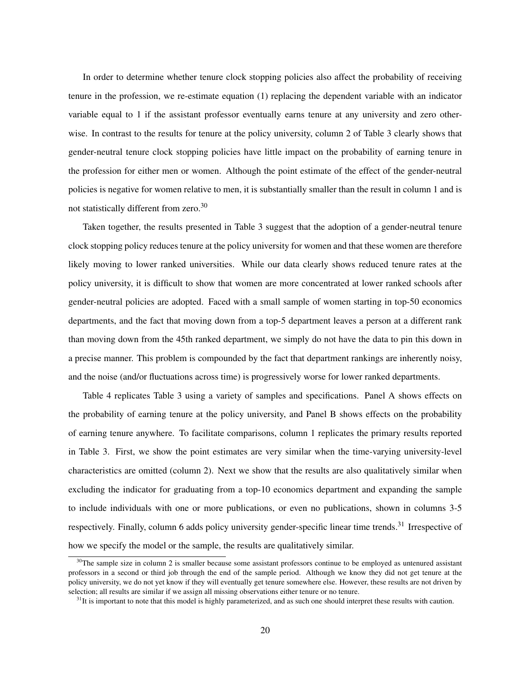In order to determine whether tenure clock stopping policies also affect the probability of receiving tenure in the profession, we re-estimate equation (1) replacing the dependent variable with an indicator variable equal to 1 if the assistant professor eventually earns tenure at any university and zero otherwise. In contrast to the results for tenure at the policy university, column 2 of Table 3 clearly shows that gender-neutral tenure clock stopping policies have little impact on the probability of earning tenure in the profession for either men or women. Although the point estimate of the effect of the gender-neutral policies is negative for women relative to men, it is substantially smaller than the result in column 1 and is not statistically different from zero.<sup>30</sup>

Taken together, the results presented in Table 3 suggest that the adoption of a gender-neutral tenure clock stopping policy reduces tenure at the policy university for women and that these women are therefore likely moving to lower ranked universities. While our data clearly shows reduced tenure rates at the policy university, it is difficult to show that women are more concentrated at lower ranked schools after gender-neutral policies are adopted. Faced with a small sample of women starting in top-50 economics departments, and the fact that moving down from a top-5 department leaves a person at a different rank than moving down from the 45th ranked department, we simply do not have the data to pin this down in a precise manner. This problem is compounded by the fact that department rankings are inherently noisy, and the noise (and/or fluctuations across time) is progressively worse for lower ranked departments.

Table 4 replicates Table 3 using a variety of samples and specifications. Panel A shows effects on the probability of earning tenure at the policy university, and Panel B shows effects on the probability of earning tenure anywhere. To facilitate comparisons, column 1 replicates the primary results reported in Table 3. First, we show the point estimates are very similar when the time-varying university-level characteristics are omitted (column 2). Next we show that the results are also qualitatively similar when excluding the indicator for graduating from a top-10 economics department and expanding the sample to include individuals with one or more publications, or even no publications, shown in columns 3-5 respectively. Finally, column 6 adds policy university gender-specific linear time trends.<sup>31</sup> Irrespective of how we specify the model or the sample, the results are qualitatively similar.

 $30$ The sample size in column 2 is smaller because some assistant professors continue to be employed as untenured assistant professors in a second or third job through the end of the sample period. Although we know they did not get tenure at the policy university, we do not yet know if they will eventually get tenure somewhere else. However, these results are not driven by selection; all results are similar if we assign all missing observations either tenure or no tenure.

 $31$ It is important to note that this model is highly parameterized, and as such one should interpret these results with caution.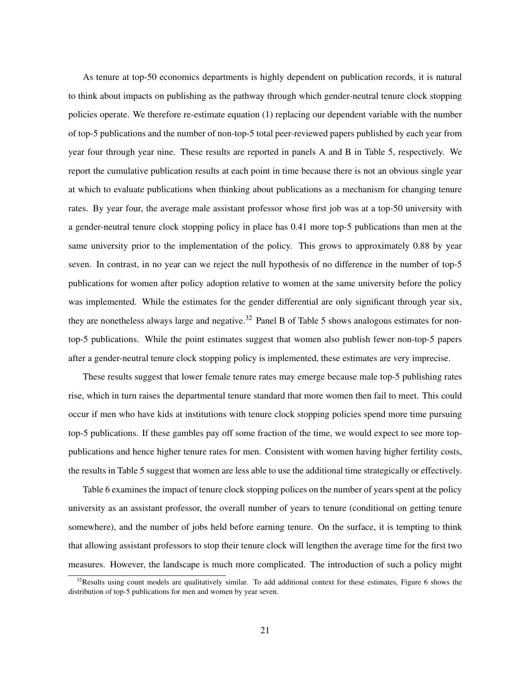As tenure at top-50 economics departments is highly dependent on publication records, it is natural to think about impacts on publishing as the pathway through which gender-neutral tenure clock stopping policies operate. We therefore re-estimate equation (1) replacing our dependent variable with the number of top-5 publications and the number of non-top-5 total peer-reviewed papers published by each year from year four through year nine. These results are reported in panels A and B in Table 5, respectively. We report the cumulative publication results at each point in time because there is not an obvious single year at which to evaluate publications when thinking about publications as a mechanism for changing tenure rates. By year four, the average male assistant professor whose first job was at a top-50 university with a gender-neutral tenure clock stopping policy in place has 0.41 more top-5 publications than men at the same university prior to the implementation of the policy. This grows to approximately 0.88 by year seven. In contrast, in no year can we reject the null hypothesis of no difference in the number of top-5 publications for women after policy adoption relative to women at the same university before the policy was implemented. While the estimates for the gender differential are only significant through year six, they are nonetheless always large and negative.<sup>32</sup> Panel B of Table 5 shows analogous estimates for nontop-5 publications. While the point estimates suggest that women also publish fewer non-top-5 papers after a gender-neutral tenure clock stopping policy is implemented, these estimates are very imprecise.

These results suggest that lower female tenure rates may emerge because male top-5 publishing rates rise, which in turn raises the departmental tenure standard that more women then fail to meet. This could occur if men who have kids at institutions with tenure clock stopping policies spend more time pursuing top-5 publications. If these gambles pay off some fraction of the time, we would expect to see more toppublications and hence higher tenure rates for men. Consistent with women having higher fertility costs, the results in Table 5 suggest that women are less able to use the additional time strategically or effectively.

Table 6 examines the impact of tenure clock stopping polices on the number of years spent at the policy university as an assistant professor, the overall number of years to tenure (conditional on getting tenure somewhere), and the number of jobs held before earning tenure. On the surface, it is tempting to think that allowing assistant professors to stop their tenure clock will lengthen the average time for the first two measures. However, the landscape is much more complicated. The introduction of such a policy might

 $32$ Results using count models are qualitatively similar. To add additional context for these estimates, Figure 6 shows the distribution of top-5 publications for men and women by year seven.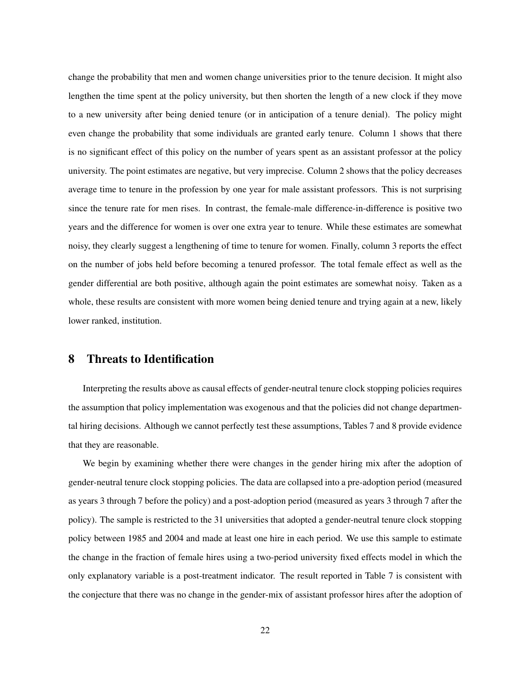change the probability that men and women change universities prior to the tenure decision. It might also lengthen the time spent at the policy university, but then shorten the length of a new clock if they move to a new university after being denied tenure (or in anticipation of a tenure denial). The policy might even change the probability that some individuals are granted early tenure. Column 1 shows that there is no significant effect of this policy on the number of years spent as an assistant professor at the policy university. The point estimates are negative, but very imprecise. Column 2 shows that the policy decreases average time to tenure in the profession by one year for male assistant professors. This is not surprising since the tenure rate for men rises. In contrast, the female-male difference-in-difference is positive two years and the difference for women is over one extra year to tenure. While these estimates are somewhat noisy, they clearly suggest a lengthening of time to tenure for women. Finally, column 3 reports the effect on the number of jobs held before becoming a tenured professor. The total female effect as well as the gender differential are both positive, although again the point estimates are somewhat noisy. Taken as a whole, these results are consistent with more women being denied tenure and trying again at a new, likely lower ranked, institution.

#### 8 Threats to Identification

Interpreting the results above as causal effects of gender-neutral tenure clock stopping policies requires the assumption that policy implementation was exogenous and that the policies did not change departmental hiring decisions. Although we cannot perfectly test these assumptions, Tables 7 and 8 provide evidence that they are reasonable.

We begin by examining whether there were changes in the gender hiring mix after the adoption of gender-neutral tenure clock stopping policies. The data are collapsed into a pre-adoption period (measured as years 3 through 7 before the policy) and a post-adoption period (measured as years 3 through 7 after the policy). The sample is restricted to the 31 universities that adopted a gender-neutral tenure clock stopping policy between 1985 and 2004 and made at least one hire in each period. We use this sample to estimate the change in the fraction of female hires using a two-period university fixed effects model in which the only explanatory variable is a post-treatment indicator. The result reported in Table 7 is consistent with the conjecture that there was no change in the gender-mix of assistant professor hires after the adoption of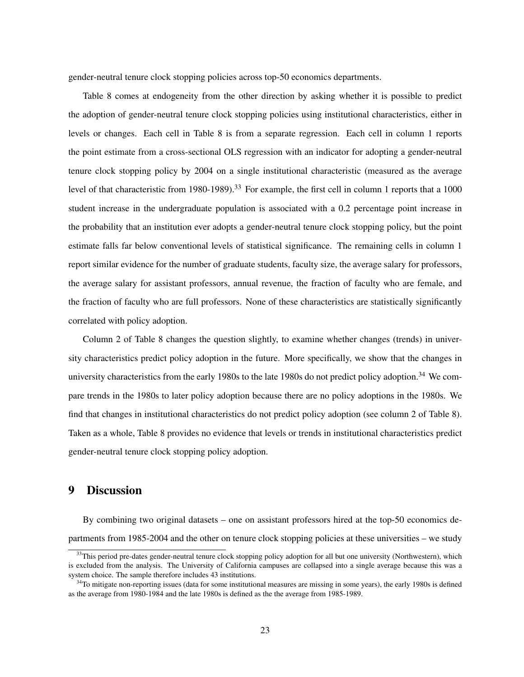gender-neutral tenure clock stopping policies across top-50 economics departments.

Table 8 comes at endogeneity from the other direction by asking whether it is possible to predict the adoption of gender-neutral tenure clock stopping policies using institutional characteristics, either in levels or changes. Each cell in Table 8 is from a separate regression. Each cell in column 1 reports the point estimate from a cross-sectional OLS regression with an indicator for adopting a gender-neutral tenure clock stopping policy by 2004 on a single institutional characteristic (measured as the average level of that characteristic from 1980-1989).<sup>33</sup> For example, the first cell in column 1 reports that a 1000 student increase in the undergraduate population is associated with a 0.2 percentage point increase in the probability that an institution ever adopts a gender-neutral tenure clock stopping policy, but the point estimate falls far below conventional levels of statistical significance. The remaining cells in column 1 report similar evidence for the number of graduate students, faculty size, the average salary for professors, the average salary for assistant professors, annual revenue, the fraction of faculty who are female, and the fraction of faculty who are full professors. None of these characteristics are statistically significantly correlated with policy adoption.

Column 2 of Table 8 changes the question slightly, to examine whether changes (trends) in university characteristics predict policy adoption in the future. More specifically, we show that the changes in university characteristics from the early 1980s to the late 1980s do not predict policy adoption.<sup>34</sup> We compare trends in the 1980s to later policy adoption because there are no policy adoptions in the 1980s. We find that changes in institutional characteristics do not predict policy adoption (see column 2 of Table 8). Taken as a whole, Table 8 provides no evidence that levels or trends in institutional characteristics predict gender-neutral tenure clock stopping policy adoption.

### 9 Discussion

By combining two original datasets – one on assistant professors hired at the top-50 economics departments from 1985-2004 and the other on tenure clock stopping policies at these universities – we study

 $33$ This period pre-dates gender-neutral tenure clock stopping policy adoption for all but one university (Northwestern), which is excluded from the analysis. The University of California campuses are collapsed into a single average because this was a system choice. The sample therefore includes 43 institutions.

<sup>&</sup>lt;sup>34</sup>To mitigate non-reporting issues (data for some institutional measures are missing in some years), the early 1980s is defined as the average from 1980-1984 and the late 1980s is defined as the the average from 1985-1989.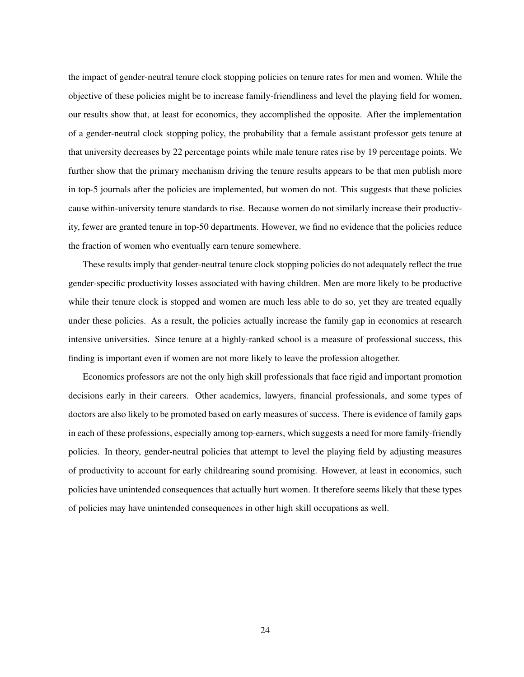the impact of gender-neutral tenure clock stopping policies on tenure rates for men and women. While the objective of these policies might be to increase family-friendliness and level the playing field for women, our results show that, at least for economics, they accomplished the opposite. After the implementation of a gender-neutral clock stopping policy, the probability that a female assistant professor gets tenure at that university decreases by 22 percentage points while male tenure rates rise by 19 percentage points. We further show that the primary mechanism driving the tenure results appears to be that men publish more in top-5 journals after the policies are implemented, but women do not. This suggests that these policies cause within-university tenure standards to rise. Because women do not similarly increase their productivity, fewer are granted tenure in top-50 departments. However, we find no evidence that the policies reduce the fraction of women who eventually earn tenure somewhere.

These results imply that gender-neutral tenure clock stopping policies do not adequately reflect the true gender-specific productivity losses associated with having children. Men are more likely to be productive while their tenure clock is stopped and women are much less able to do so, yet they are treated equally under these policies. As a result, the policies actually increase the family gap in economics at research intensive universities. Since tenure at a highly-ranked school is a measure of professional success, this finding is important even if women are not more likely to leave the profession altogether.

Economics professors are not the only high skill professionals that face rigid and important promotion decisions early in their careers. Other academics, lawyers, financial professionals, and some types of doctors are also likely to be promoted based on early measures of success. There is evidence of family gaps in each of these professions, especially among top-earners, which suggests a need for more family-friendly policies. In theory, gender-neutral policies that attempt to level the playing field by adjusting measures of productivity to account for early childrearing sound promising. However, at least in economics, such policies have unintended consequences that actually hurt women. It therefore seems likely that these types of policies may have unintended consequences in other high skill occupations as well.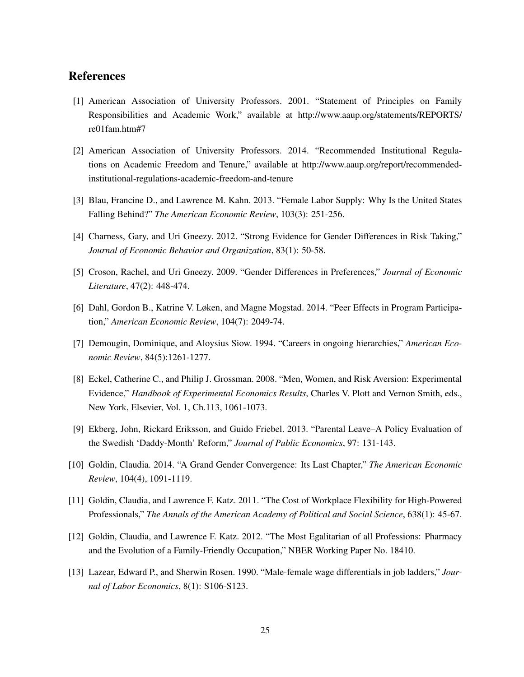# References

- [1] American Association of University Professors. 2001. "Statement of Principles on Family Responsibilities and Academic Work," available at http://www.aaup.org/statements/REPORTS/ re01fam.htm#7
- [2] American Association of University Professors. 2014. "Recommended Institutional Regulations on Academic Freedom and Tenure," available at http://www.aaup.org/report/recommendedinstitutional-regulations-academic-freedom-and-tenure
- [3] Blau, Francine D., and Lawrence M. Kahn. 2013. "Female Labor Supply: Why Is the United States Falling Behind?" *The American Economic Review*, 103(3): 251-256.
- [4] Charness, Gary, and Uri Gneezy. 2012. "Strong Evidence for Gender Differences in Risk Taking," *Journal of Economic Behavior and Organization*, 83(1): 50-58.
- [5] Croson, Rachel, and Uri Gneezy. 2009. "Gender Differences in Preferences," *Journal of Economic Literature*, 47(2): 448-474.
- [6] Dahl, Gordon B., Katrine V. Løken, and Magne Mogstad. 2014. "Peer Effects in Program Participation," *American Economic Review*, 104(7): 2049-74.
- [7] Demougin, Dominique, and Aloysius Siow. 1994. "Careers in ongoing hierarchies," *American Economic Review*, 84(5):1261-1277.
- [8] Eckel, Catherine C., and Philip J. Grossman. 2008. "Men, Women, and Risk Aversion: Experimental Evidence," *Handbook of Experimental Economics Results*, Charles V. Plott and Vernon Smith, eds., New York, Elsevier, Vol. 1, Ch.113, 1061-1073.
- [9] Ekberg, John, Rickard Eriksson, and Guido Friebel. 2013. "Parental Leave–A Policy Evaluation of the Swedish 'Daddy-Month' Reform," *Journal of Public Economics*, 97: 131-143.
- [10] Goldin, Claudia. 2014. "A Grand Gender Convergence: Its Last Chapter," *The American Economic Review*, 104(4), 1091-1119.
- [11] Goldin, Claudia, and Lawrence F. Katz. 2011. "The Cost of Workplace Flexibility for High-Powered Professionals," *The Annals of the American Academy of Political and Social Science*, 638(1): 45-67.
- [12] Goldin, Claudia, and Lawrence F. Katz. 2012. "The Most Egalitarian of all Professions: Pharmacy and the Evolution of a Family-Friendly Occupation," NBER Working Paper No. 18410.
- [13] Lazear, Edward P., and Sherwin Rosen. 1990. "Male-female wage differentials in job ladders," *Journal of Labor Economics*, 8(1): S106-S123.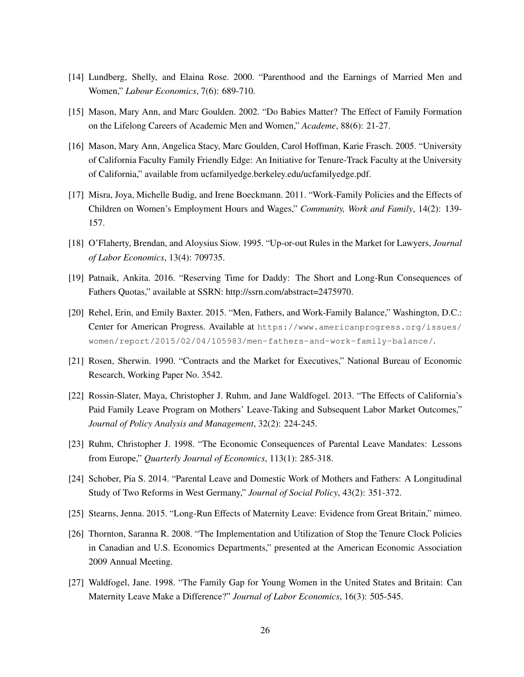- [14] Lundberg, Shelly, and Elaina Rose. 2000. "Parenthood and the Earnings of Married Men and Women," *Labour Economics*, 7(6): 689-710.
- [15] Mason, Mary Ann, and Marc Goulden. 2002. "Do Babies Matter? The Effect of Family Formation on the Lifelong Careers of Academic Men and Women," *Academe*, 88(6): 21-27.
- [16] Mason, Mary Ann, Angelica Stacy, Marc Goulden, Carol Hoffman, Karie Frasch. 2005. "University of California Faculty Family Friendly Edge: An Initiative for Tenure-Track Faculty at the University of California," available from ucfamilyedge.berkeley.edu/ucfamilyedge.pdf.
- [17] Misra, Joya, Michelle Budig, and Irene Boeckmann. 2011. "Work-Family Policies and the Effects of Children on Women's Employment Hours and Wages," *Community, Work and Family*, 14(2): 139- 157.
- [18] O'Flaherty, Brendan, and Aloysius Siow. 1995. "Up-or-out Rules in the Market for Lawyers, *Journal of Labor Economics*, 13(4): 709735.
- [19] Patnaik, Ankita. 2016. "Reserving Time for Daddy: The Short and Long-Run Consequences of Fathers Quotas," available at SSRN: http://ssrn.com/abstract=2475970.
- [20] Rehel, Erin, and Emily Baxter. 2015. "Men, Fathers, and Work-Family Balance," Washington, D.C.: Center for American Progress. Available at https://www.americanprogress.org/issues/ women/report/2015/02/04/105983/men-fathers-and-work-family-balance/.
- [21] Rosen, Sherwin. 1990. "Contracts and the Market for Executives," National Bureau of Economic Research, Working Paper No. 3542.
- [22] Rossin-Slater, Maya, Christopher J. Ruhm, and Jane Waldfogel. 2013. "The Effects of California's Paid Family Leave Program on Mothers' Leave-Taking and Subsequent Labor Market Outcomes," *Journal of Policy Analysis and Management*, 32(2): 224-245.
- [23] Ruhm, Christopher J. 1998. "The Economic Consequences of Parental Leave Mandates: Lessons from Europe," *Quarterly Journal of Economics*, 113(1): 285-318.
- [24] Schober, Pia S. 2014. "Parental Leave and Domestic Work of Mothers and Fathers: A Longitudinal Study of Two Reforms in West Germany," *Journal of Social Policy*, 43(2): 351-372.
- [25] Stearns, Jenna. 2015. "Long-Run Effects of Maternity Leave: Evidence from Great Britain," mimeo.
- [26] Thornton, Saranna R. 2008. "The Implementation and Utilization of Stop the Tenure Clock Policies in Canadian and U.S. Economics Departments," presented at the American Economic Association 2009 Annual Meeting.
- [27] Waldfogel, Jane. 1998. "The Family Gap for Young Women in the United States and Britain: Can Maternity Leave Make a Difference?" *Journal of Labor Economics*, 16(3): 505-545.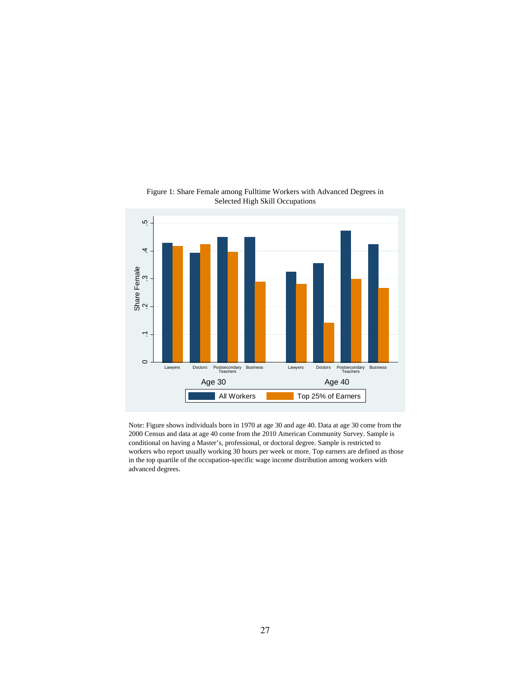

Figure 1: Share Female among Fulltime Workers with Advanced Degrees in Selected High Skill Occupations

Note: Figure shows individuals born in 1970 at age 30 and age 40. Data at age 30 come from the 2000 Census and data at age 40 come from the 2010 American Community Survey. Sample is conditional on having a Master's, professional, or doctoral degree. Sample is restricted to workers who report usually working 30 hours per week or more. Top earners are defined as those in the top quartile of the occupation-specific wage income distribution among workers with advanced degrees.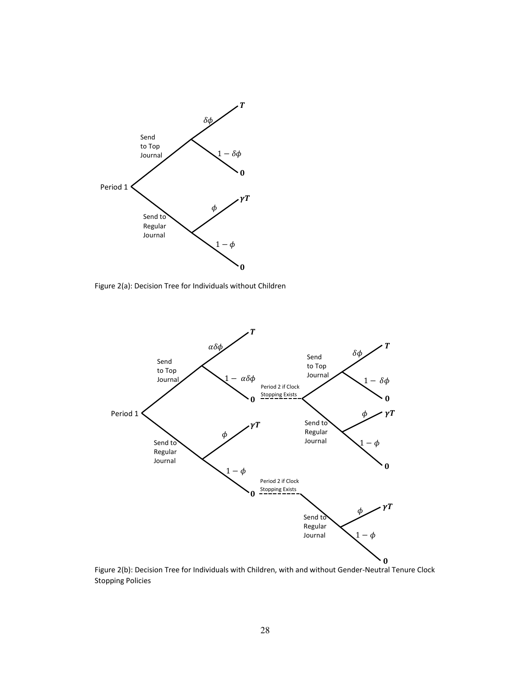

Figure 2(a): Decision Tree for Individuals without Children



Figure 2(b): Decision Tree for Individuals with Children, with and without Gender-Neutral Tenure Clock Stopping Policies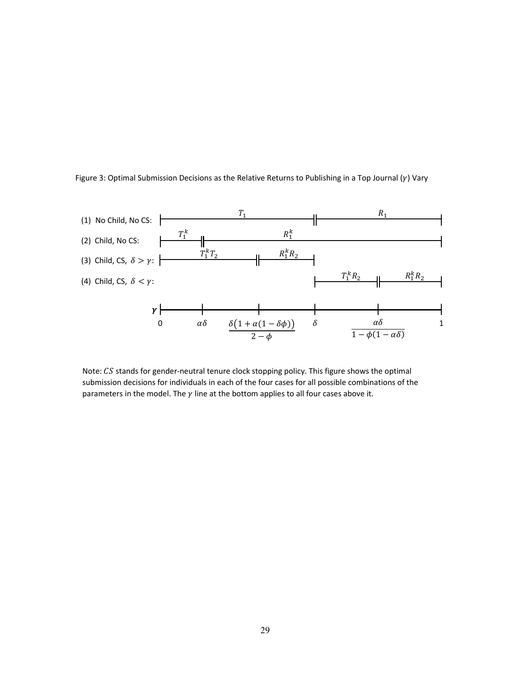



Note:  $CS$  stands for gender-neutral tenure clock stopping policy. This figure shows the optimal submission decisions for individuals in each of the four cases for all possible combinations of the parameters in the model. The  $\gamma$  line at the bottom applies to all four cases above it.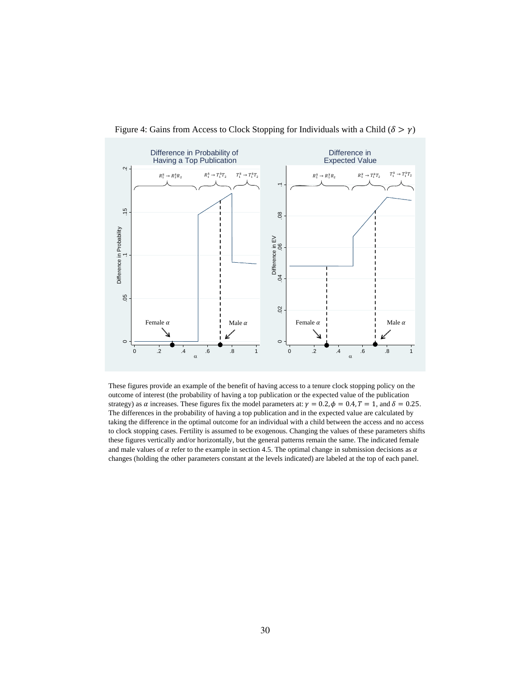

Figure 4: Gains from Access to Clock Stopping for Individuals with a Child ( $\delta > \gamma$ )

These figures provide an example of the benefit of having access to a tenure clock stopping policy on the outcome of interest (the probability of having a top publication or the expected value of the publication strategy) as  $\alpha$  increases. These figures fix the model parameters at:  $\gamma = 0.2$ ,  $\phi = 0.4$ ,  $T = 1$ , and  $\delta = 0.25$ . The differences in the probability of having a top publication and in the expected value are calculated by taking the difference in the optimal outcome for an individual with a child between the access and no access to clock stopping cases. Fertility is assumed to be exogenous. Changing the values of these parameters shifts these figures vertically and/or horizontally, but the general patterns remain the same. The indicated female and male values of  $\alpha$  refer to the example in section 4.5. The optimal change in submission decisions as  $\alpha$ changes (holding the other parameters constant at the levels indicated) are labeled at the top of each panel.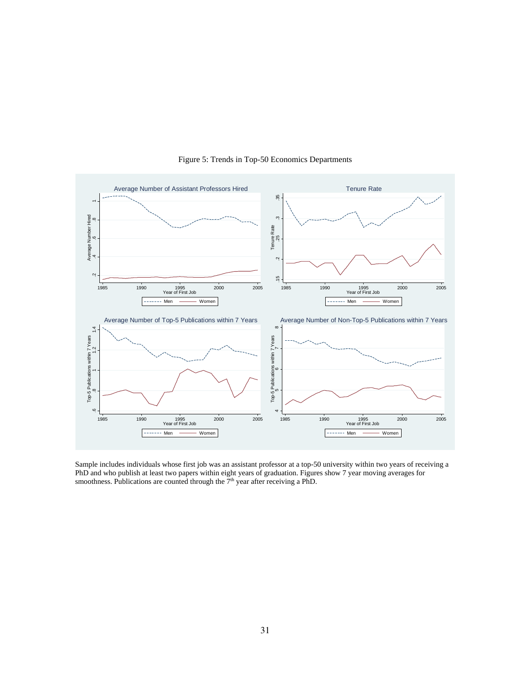

Figure 5: Trends in Top-50 Economics Departments

Sample includes individuals whose first job was an assistant professor at a top-50 university within two years of receiving a PhD and who publish at least two papers within eight years of graduation. Figures show 7 year moving averages for smoothness. Publications are counted through the  $\overline{7}$ <sup>th</sup> year after receiving a PhD.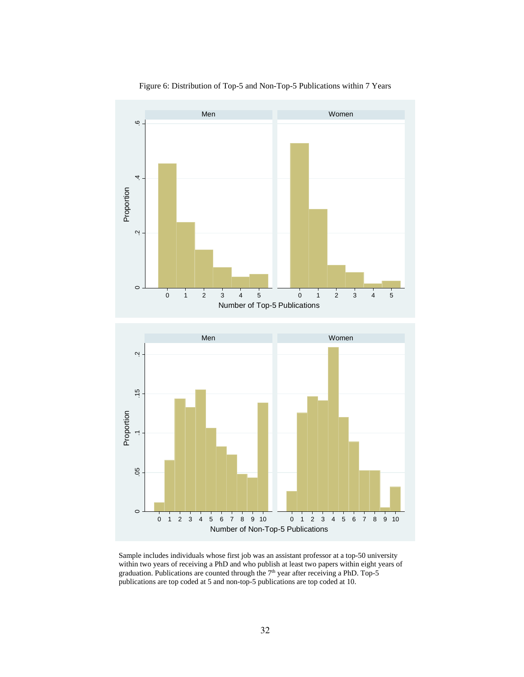

Figure 6: Distribution of Top-5 and Non-Top-5 Publications within 7 Years

Sample includes individuals whose first job was an assistant professor at a top-50 university within two years of receiving a PhD and who publish at least two papers within eight years of graduation. Publications are counted through the  $7<sup>th</sup>$  year after receiving a PhD. Top-5 publications are top coded at 5 and non-top-5 publications are top coded at 10.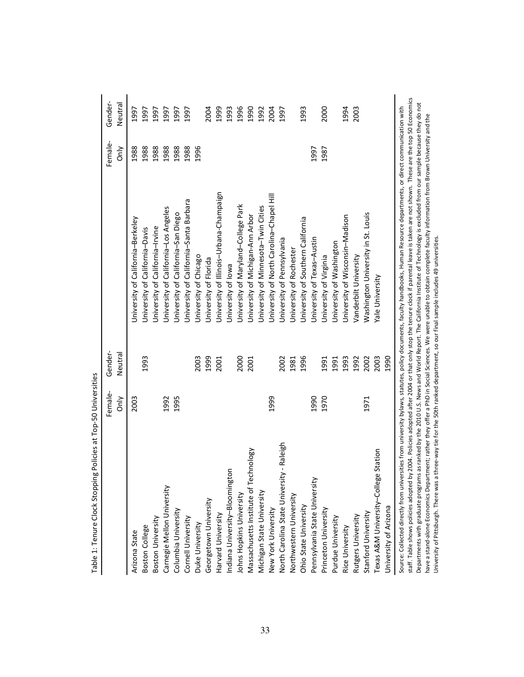| <b>b</b> - s - s - s - s - b              | Female- | Gender- |                                                                                                                                                                                                                                                                                                                                                                     | Female- | Gender- |
|-------------------------------------------|---------|---------|---------------------------------------------------------------------------------------------------------------------------------------------------------------------------------------------------------------------------------------------------------------------------------------------------------------------------------------------------------------------|---------|---------|
|                                           | òη<br>δ | Neutral |                                                                                                                                                                                                                                                                                                                                                                     | only    | Neutral |
| Arizona State                             | 2003    |         | Jniversity of California-Berkeley                                                                                                                                                                                                                                                                                                                                   | 1988    | 1997    |
| Boston College                            |         | 1993    | Jniversity of California-Davis                                                                                                                                                                                                                                                                                                                                      | 1988    | 1997    |
| Boston University                         |         |         | Jniversity of California-Irvine                                                                                                                                                                                                                                                                                                                                     | 1988    | 1997    |
| Carnegie Mellon University                | 1992    |         | Jniversity of California-Los Angeles                                                                                                                                                                                                                                                                                                                                | 1988    | 1997    |
| Columbia University                       | 1995    |         | University of California-San Diego                                                                                                                                                                                                                                                                                                                                  | 1988    | 1997    |
| Cornell University                        |         |         | Jniversity of California-Santa Barbara                                                                                                                                                                                                                                                                                                                              | 1988    | 1997    |
| Duke University                           |         | 2003    | University of Chicago                                                                                                                                                                                                                                                                                                                                               | 1996    |         |
| Georgetown University                     |         | 1999    | Jniversity of Florida                                                                                                                                                                                                                                                                                                                                               |         | 2004    |
| Harvard University                        |         | 2001    | University of Illinois-Urbana-Champaign                                                                                                                                                                                                                                                                                                                             |         | 1999    |
| Indiana University-Bloomington            |         |         | Jniversity of lowa                                                                                                                                                                                                                                                                                                                                                  |         | 1993    |
| Johns Hopkins University                  |         | 2000    | University of Maryland-College Park                                                                                                                                                                                                                                                                                                                                 |         | 1996    |
| Massachusetts Institute of Technology     |         | 2001    | University of Michigan-Ann Arbor                                                                                                                                                                                                                                                                                                                                    |         | 1990    |
| Michigan State University                 |         |         | University of Minnesota-Twin Cities                                                                                                                                                                                                                                                                                                                                 |         | 1992    |
| New York University                       | 1999    |         | Jniversity of North Carolina-Chapel Hill                                                                                                                                                                                                                                                                                                                            |         | 2004    |
| North Carolina State University - Raleigh |         | 2002    | University of Pennsylvania                                                                                                                                                                                                                                                                                                                                          |         | 1997    |
| Northwestern University                   |         | 1981    | Jniversity of Rochester                                                                                                                                                                                                                                                                                                                                             |         |         |
| Ohio State University                     |         | 1996    | University of Southern California                                                                                                                                                                                                                                                                                                                                   |         | 1993    |
| Pennsylvania State University             | 1990    |         | University of Texas-Austin                                                                                                                                                                                                                                                                                                                                          | 1997    |         |
| Princeton University                      | 1970    | 1991    | University of Virginia                                                                                                                                                                                                                                                                                                                                              | 1987    | 2000    |
| Purdue University                         |         | 1991    | University of Washington                                                                                                                                                                                                                                                                                                                                            |         |         |
| Rice University                           |         | 1993    | University of Wisconsin-Madison                                                                                                                                                                                                                                                                                                                                     |         | 1994    |
| Rutgers University                        |         | 1992    | Vanderbilt University                                                                                                                                                                                                                                                                                                                                               |         | 2003    |
| Stanford University                       | 1971    | 2002    | Washington University in St. Louis                                                                                                                                                                                                                                                                                                                                  |         |         |
| Texas A&M University-College Station      |         | 2003    | Yale University                                                                                                                                                                                                                                                                                                                                                     |         |         |
| Jniversity of Arizona                     |         | 1990    |                                                                                                                                                                                                                                                                                                                                                                     |         |         |
|                                           |         |         | staff. Table shows policies adopted by 2004. Policies adopted after 2004 or that only stop the tenure clock if parental leave is taken are not shown. These are the top 50 Economics<br>Source: Collected directly from universites from university bylaws, statutes, policy documents, faculty handbooks, Human Resource departments, or direct communication with |         |         |

staff. Table shows policies adopted by 2004. Policies adopted after 2004 or that only stop the tenure clock if parental leave is taken are not shown. These are the top 50 Economics Departments with graduate programs as ranked by the 2010 U.S. News and World Report. The California Institute of Technology is excluded from our sample because they do not<br>have a stand-alone Economics Department; rather th Departments with graduate programs as ranked by the 2010 U.S. News and World Report. The California Institute of Technology is excluded from our sample because they do not have a stand-alone Economics Department; rather they offer a PhD in Social Sciences. We were unable to obtain complete faculty information from Brown University and the University of Pittsburgh. There was a three-way tie for the 50th ranked department, so our final sample includes 49 universities.

Table 1: Tenure Clock Stopping Policies at Top-50 Universities Table 1: Tenure Clock Stopping Policies at Top-50 Universities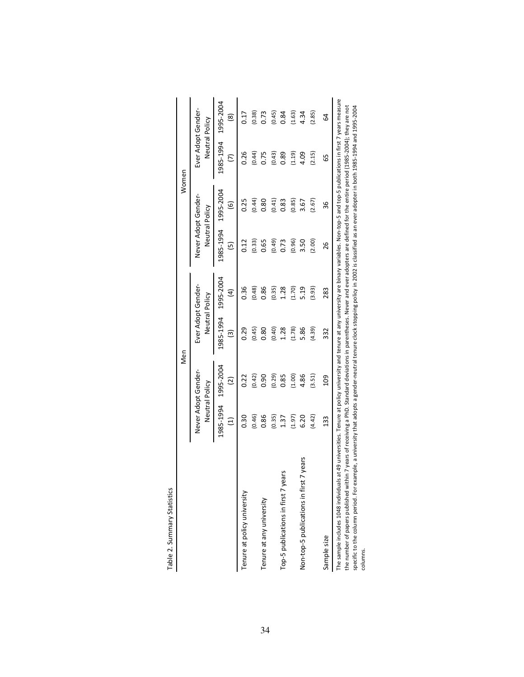|                                                                                                                                                                                                                                                                                                                                                                                                                                                                                                                                                                                               |                                       | Men                         |                                      |                            |                | Women               |                                      |                |
|-----------------------------------------------------------------------------------------------------------------------------------------------------------------------------------------------------------------------------------------------------------------------------------------------------------------------------------------------------------------------------------------------------------------------------------------------------------------------------------------------------------------------------------------------------------------------------------------------|---------------------------------------|-----------------------------|--------------------------------------|----------------------------|----------------|---------------------|--------------------------------------|----------------|
|                                                                                                                                                                                                                                                                                                                                                                                                                                                                                                                                                                                               | Never Adopt Gender-<br>Neutral Policy |                             | Ever Adopt Gender-<br>Neutral Policy |                            | Neutral Policy | Never Adopt Gender- | Ever Adopt Gender-<br>Neutral Policy |                |
|                                                                                                                                                                                                                                                                                                                                                                                                                                                                                                                                                                                               | 1985-1994<br>Ξ                        | 1995-2004<br>$\overline{c}$ | 1985-1994<br>ම                       | 1995-2004<br>$\widehat{a}$ | 1985-1994<br>ග | 1995-2004<br>ම      | 1985-1994<br>$\overline{c}$          | 1995-2004<br>ම |
| Tenure at policy university                                                                                                                                                                                                                                                                                                                                                                                                                                                                                                                                                                   | 0.30                                  | 0.22                        | 0.29                                 | 0.36                       | 0.12           | 0.25                | 0.26                                 | 0.17           |
|                                                                                                                                                                                                                                                                                                                                                                                                                                                                                                                                                                                               | (0.46)                                | (0.42)                      | (0.45)                               | (0.48)                     | (0.33)         | (0.44)              | (0.44)                               | (0.38)         |
| Tenure at any university                                                                                                                                                                                                                                                                                                                                                                                                                                                                                                                                                                      | 0.86                                  | 0.90                        | 0.80                                 | 0.86                       | 0.65           | 0.80                | 0.75                                 | 0.73           |
|                                                                                                                                                                                                                                                                                                                                                                                                                                                                                                                                                                                               | (0.35)                                | (0.29)                      | (0.40)                               | (0.35)                     | (0.49)         | (0.41)              | (0.43)                               | (0.45)         |
| Top-5 publications in first 7 years                                                                                                                                                                                                                                                                                                                                                                                                                                                                                                                                                           | 1.37                                  | 0.85                        | 1.28                                 | 1.28                       | 0.73           | 0.83                | 0.89                                 | 0.84           |
|                                                                                                                                                                                                                                                                                                                                                                                                                                                                                                                                                                                               | (1.97)                                | (1.00)                      | (1.78)                               | (1.70)                     | (0.96)         | (0.85)              | (1.19)                               | (1.63)         |
| 7 years<br>Non-top-5 publications in first                                                                                                                                                                                                                                                                                                                                                                                                                                                                                                                                                    | 6.20                                  | 4.86                        | 5.86                                 | 5.19                       | 3.50           | 3.67                | 4.09                                 | 4.34           |
|                                                                                                                                                                                                                                                                                                                                                                                                                                                                                                                                                                                               | (4.42)                                | (3.51)                      | (4.39)                               | (3.93)                     | (2.00)         | (2.67)              | (2.15)                               | (2.85)         |
| Sample size                                                                                                                                                                                                                                                                                                                                                                                                                                                                                                                                                                                   | 133                                   | <b>201</b>                  | 332                                  | 283                        | 26             | 36                  | 99                                   | 64             |
| The sample includes 1048 individuals at 49 universities. Tenure at policy university and tenure at any university are binary variables. Non-top-5 and top-5 publications in first 7 years measure<br>the number of papers published within 7 years of receiving a PhD. Standard deviations in parentheses. Never and ever adopters are defined for the entire period (1985-2004); they are not<br>specific to the column period. For example, a university that adopts a gender-neutral tenure clock stopping policy in 2002 is classified as an ever adopter in both 1985-1994 and 1995-2004 |                                       |                             |                                      |                            |                |                     |                                      |                |

Table 2. Summary Statistics Table 2. Summary Statistics

columns.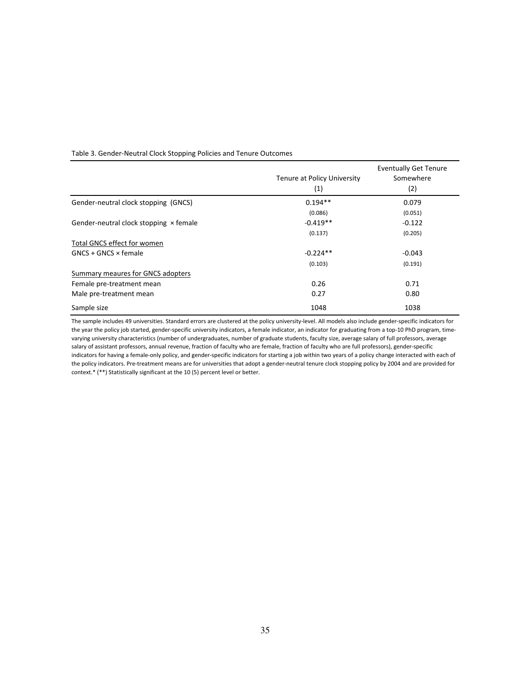#### Table 3. Gender-Neutral Clock Stopping Policies and Tenure Outcomes

|                                               | Tenure at Policy University | <b>Eventually Get Tenure</b><br>Somewhere |
|-----------------------------------------------|-----------------------------|-------------------------------------------|
|                                               | (1)                         | (2)                                       |
| Gender-neutral clock stopping (GNCS)          | $0.194**$                   | 0.079                                     |
|                                               | (0.086)                     | (0.051)                                   |
| Gender-neutral clock stopping $\times$ female | $-0.419**$                  | $-0.122$                                  |
|                                               | (0.137)                     | (0.205)                                   |
| <b>Total GNCS effect for women</b>            |                             |                                           |
| $GNCS + GNCS \times female$                   | $-0.224**$                  | $-0.043$                                  |
|                                               | (0.103)                     | (0.191)                                   |
| Summary meaures for GNCS adopters             |                             |                                           |
| Female pre-treatment mean                     | 0.26                        | 0.71                                      |
| Male pre-treatment mean                       | 0.27                        | 0.80                                      |
| Sample size                                   | 1048                        | 1038                                      |

The sample includes 49 universities. Standard errors are clustered at the policy university-level. All models also include gender-specific indicators for the year the policy job started, gender-specific university indicators, a female indicator, an indicator for graduating from a top-10 PhD program, timevarying university characteristics (number of undergraduates, number of graduate students, faculty size, average salary of full professors, average salary of assistant professors, annual revenue, fraction of faculty who are female, fraction of faculty who are full professors), gender-specific indicators for having a female-only policy, and gender-specific indicators for starting a job within two years of a policy change interacted with each of the policy indicators. Pre-treatment means are for universities that adopt a gender-neutral tenure clock stopping policy by 2004 and are provided for context.\* (\*\*) Statistically significant at the 10 (5) percent level or better.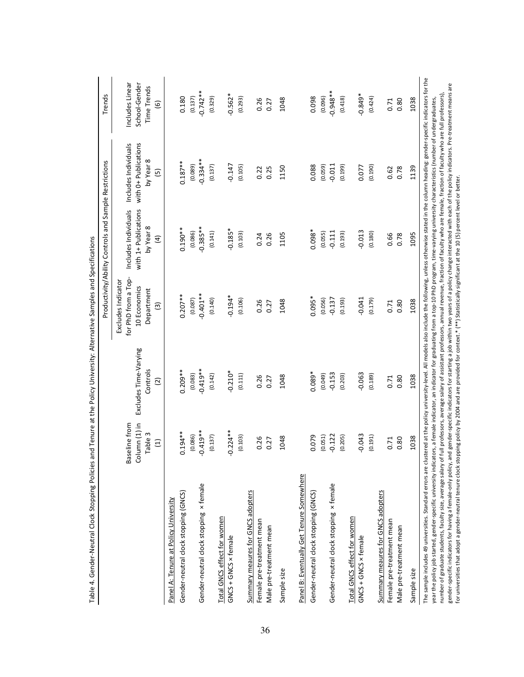|                                                                                                                                                                                                                                                                                                                                                                                                                                                                                                                                                                                                                                                                                                                                                                                                                                                                                                         |                                                    |                                                     |                                                                                            | Productivity/Ability Controls and Sample Restrictions                       |                                                                | Trends                                                                |
|---------------------------------------------------------------------------------------------------------------------------------------------------------------------------------------------------------------------------------------------------------------------------------------------------------------------------------------------------------------------------------------------------------------------------------------------------------------------------------------------------------------------------------------------------------------------------------------------------------------------------------------------------------------------------------------------------------------------------------------------------------------------------------------------------------------------------------------------------------------------------------------------------------|----------------------------------------------------|-----------------------------------------------------|--------------------------------------------------------------------------------------------|-----------------------------------------------------------------------------|----------------------------------------------------------------|-----------------------------------------------------------------------|
|                                                                                                                                                                                                                                                                                                                                                                                                                                                                                                                                                                                                                                                                                                                                                                                                                                                                                                         | Column (1) in<br>Baseline from<br>Table 3<br>$\Xi$ | Excludes Time-Varying<br>Controls<br>$\overline{c}$ | for PhD from a Top-<br>Excludes Indicator<br>10 Economics<br>Department<br>$\widehat{\Xi}$ | with 1+ Publications<br>Includes Individuals<br>by Year 8<br>$\overline{4}$ | with 0+ Publications<br>Includes Individuals<br>by Year 8<br>Θ | Includes Linear<br>School-Gender<br><b>Time Trends</b><br>$\circlede$ |
| Panel A: Tenure at Policy University                                                                                                                                                                                                                                                                                                                                                                                                                                                                                                                                                                                                                                                                                                                                                                                                                                                                    |                                                    |                                                     |                                                                                            |                                                                             |                                                                |                                                                       |
| Gender-neutral clock stopping (GNCS)                                                                                                                                                                                                                                                                                                                                                                                                                                                                                                                                                                                                                                                                                                                                                                                                                                                                    | $0.194**$                                          | $0.209***$                                          | $0.207**$                                                                                  | $0.190***$                                                                  | $0.187***$                                                     | 0.180                                                                 |
|                                                                                                                                                                                                                                                                                                                                                                                                                                                                                                                                                                                                                                                                                                                                                                                                                                                                                                         | (0.086)                                            | (0.083)                                             | (0.087)                                                                                    | (0.086)                                                                     | (0.089)                                                        | (0.137)                                                               |
| Gender-neutral clock stopping x female                                                                                                                                                                                                                                                                                                                                                                                                                                                                                                                                                                                                                                                                                                                                                                                                                                                                  | $-0.419**$                                         | $-0.419**$                                          | $-0.401***$                                                                                | $-0.385**$                                                                  | $-0.334**$                                                     | $-0.742**$                                                            |
|                                                                                                                                                                                                                                                                                                                                                                                                                                                                                                                                                                                                                                                                                                                                                                                                                                                                                                         | (0.137)                                            | (0.142)                                             | (0.140)                                                                                    | (0.141)                                                                     | (0.137)                                                        | (0.329)                                                               |
| Total GNCS effect for women                                                                                                                                                                                                                                                                                                                                                                                                                                                                                                                                                                                                                                                                                                                                                                                                                                                                             |                                                    |                                                     |                                                                                            |                                                                             |                                                                |                                                                       |
| GNCS + GNCS × female                                                                                                                                                                                                                                                                                                                                                                                                                                                                                                                                                                                                                                                                                                                                                                                                                                                                                    | $-0.224**$                                         | $-0.210*$                                           | $-0.194*$                                                                                  | $-0.185*$                                                                   | $-0.147$                                                       | $-0.562*$                                                             |
|                                                                                                                                                                                                                                                                                                                                                                                                                                                                                                                                                                                                                                                                                                                                                                                                                                                                                                         | (0.103)                                            | (0.111)                                             | (0.106)                                                                                    | (0.103)                                                                     | (0.105)                                                        | (0.293)                                                               |
| Summary meaures for GNCS adopters                                                                                                                                                                                                                                                                                                                                                                                                                                                                                                                                                                                                                                                                                                                                                                                                                                                                       |                                                    |                                                     |                                                                                            |                                                                             |                                                                |                                                                       |
| Female pre-treatment mean                                                                                                                                                                                                                                                                                                                                                                                                                                                                                                                                                                                                                                                                                                                                                                                                                                                                               | 0.26                                               | 0.26                                                | 0.26                                                                                       | 0.24                                                                        | 0.22                                                           | 0.26                                                                  |
| Male pre-treatment mean                                                                                                                                                                                                                                                                                                                                                                                                                                                                                                                                                                                                                                                                                                                                                                                                                                                                                 | 0.27                                               | 0.27                                                | 0.27                                                                                       | 0.26                                                                        | 0.25                                                           | 0.27                                                                  |
| Sample size                                                                                                                                                                                                                                                                                                                                                                                                                                                                                                                                                                                                                                                                                                                                                                                                                                                                                             | 1048                                               | 1048                                                | 1048                                                                                       | 1105                                                                        | 1150                                                           | 1048                                                                  |
| Panel B: Eventually Get Tenure Somewhere                                                                                                                                                                                                                                                                                                                                                                                                                                                                                                                                                                                                                                                                                                                                                                                                                                                                |                                                    |                                                     |                                                                                            |                                                                             |                                                                |                                                                       |
| Gender-neutral clock stopping (GNCS)                                                                                                                                                                                                                                                                                                                                                                                                                                                                                                                                                                                                                                                                                                                                                                                                                                                                    | 0.079                                              | $0.089*$                                            | $0.095*$                                                                                   | $0.098*$                                                                    | 0.088                                                          | 0.098                                                                 |
|                                                                                                                                                                                                                                                                                                                                                                                                                                                                                                                                                                                                                                                                                                                                                                                                                                                                                                         | (0.051)                                            | (0.049)                                             | (0.056)                                                                                    | (0.055)                                                                     | (0.059)                                                        | (0.096)                                                               |
| Gender-neutral clock stopping x female                                                                                                                                                                                                                                                                                                                                                                                                                                                                                                                                                                                                                                                                                                                                                                                                                                                                  | 0.122                                              | $-0.153$                                            | $-0.137$                                                                                   | $-0.111$                                                                    | $-0.011$                                                       | $**8+6.0$                                                             |
|                                                                                                                                                                                                                                                                                                                                                                                                                                                                                                                                                                                                                                                                                                                                                                                                                                                                                                         | (0.205)                                            | (0.203)                                             | (0.193)                                                                                    | (0.193)                                                                     | (0.199)                                                        | (0.418)                                                               |
| Total GNCS effect for women                                                                                                                                                                                                                                                                                                                                                                                                                                                                                                                                                                                                                                                                                                                                                                                                                                                                             |                                                    |                                                     |                                                                                            |                                                                             |                                                                |                                                                       |
| GNCS + GNCS × female                                                                                                                                                                                                                                                                                                                                                                                                                                                                                                                                                                                                                                                                                                                                                                                                                                                                                    | $-0.043$                                           | $-0.063$                                            | $-0.041$                                                                                   | $-0.013$                                                                    | 0.077                                                          | $-0.849*$                                                             |
|                                                                                                                                                                                                                                                                                                                                                                                                                                                                                                                                                                                                                                                                                                                                                                                                                                                                                                         | (0.191)                                            | (0.189)                                             | (0.179)                                                                                    | (0.180)                                                                     | (0.190)                                                        | (0.424)                                                               |
| Summary meaures for GNCS adopters                                                                                                                                                                                                                                                                                                                                                                                                                                                                                                                                                                                                                                                                                                                                                                                                                                                                       |                                                    |                                                     |                                                                                            |                                                                             |                                                                |                                                                       |
| Female pre-treatment mean                                                                                                                                                                                                                                                                                                                                                                                                                                                                                                                                                                                                                                                                                                                                                                                                                                                                               | 0.71                                               | 0.71                                                | 0.71                                                                                       | 0.66                                                                        | 0.62                                                           | 0.71                                                                  |
| Male pre-treatment mean                                                                                                                                                                                                                                                                                                                                                                                                                                                                                                                                                                                                                                                                                                                                                                                                                                                                                 | 0.80                                               | 0.80                                                | 0.80                                                                                       | 0.78                                                                        | 0.78                                                           | 0.80                                                                  |
| Sample size                                                                                                                                                                                                                                                                                                                                                                                                                                                                                                                                                                                                                                                                                                                                                                                                                                                                                             | 1038                                               | 1038                                                | 1038                                                                                       | 1095                                                                        | 1139                                                           | 1038                                                                  |
| The sample includes 49 universities. Standard errors are clustered at the policy university-level. All models also include the following, unless otherwise stated in the column heading: gender-specific indicators for the<br>gender-specific indicators for having a female-only policy, and gender-specific indicators for starting a job within two years of a policy change interacted with each of the policy indicators. Pre-treatment means are<br>number of graduate students, faculty size, average salary of full professors, average salary of assistant professors, annual revenue, fraction of faculty who are female, fraction of faculty who are full professors).<br>year the policy job started, gender-specific university indicators, a female indicator, an indicator for graduating from a top-10 PhD program, time-varying university characteristics (number of undergraduates, |                                                    |                                                     |                                                                                            |                                                                             |                                                                |                                                                       |
| for universities that adopt a gender-neutral tenure clock stopping policy by 2004 and are provided for context.* (**) Statistically significant at the 10 (5) percent level or better.                                                                                                                                                                                                                                                                                                                                                                                                                                                                                                                                                                                                                                                                                                                  |                                                    |                                                     |                                                                                            |                                                                             |                                                                |                                                                       |

Table 4. Gender-Neutral Clock Stopping Policies and Tenure at the Policy University: Alternative Samples and Specifications Table 4. Gender-Neutral Clock Stopping Policies and Tenure at the Policy University: Alternative Samples and Specifications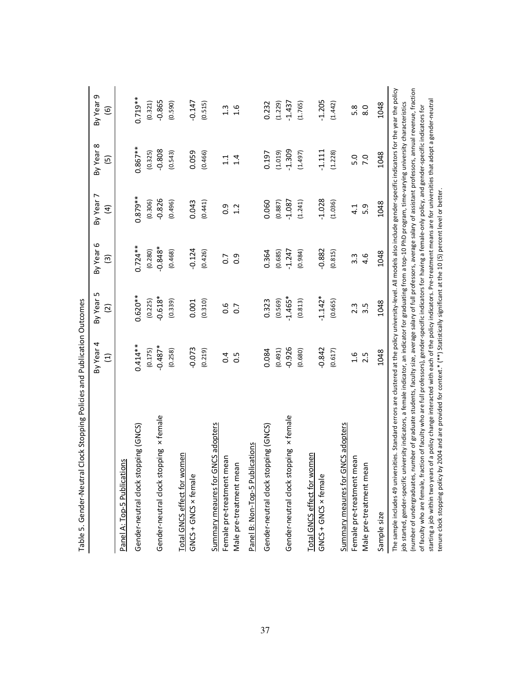| control of the control of the control of the control of the control of the control of the control of the control of the control of the control of the control of the control of the control of the control of the control of t                                                                                                                                                                                                                                                                                                                                                                                                                                                                                                                                                                                                                                                            |                              |                             |                                     |                            |                             |                                     |
|-------------------------------------------------------------------------------------------------------------------------------------------------------------------------------------------------------------------------------------------------------------------------------------------------------------------------------------------------------------------------------------------------------------------------------------------------------------------------------------------------------------------------------------------------------------------------------------------------------------------------------------------------------------------------------------------------------------------------------------------------------------------------------------------------------------------------------------------------------------------------------------------|------------------------------|-----------------------------|-------------------------------------|----------------------------|-----------------------------|-------------------------------------|
|                                                                                                                                                                                                                                                                                                                                                                                                                                                                                                                                                                                                                                                                                                                                                                                                                                                                                           | By Year 4<br>$\widehat{\Xi}$ | By Year 5<br>$\overline{c}$ | By Year 6<br>$\widehat{\mathbf{e}}$ | By Year 7<br>$\widehat{E}$ | By Year 8<br>$\overline{5}$ | By Year 9<br>$\widehat{\mathbf{e}}$ |
| Panel A: Top-5 Publications                                                                                                                                                                                                                                                                                                                                                                                                                                                                                                                                                                                                                                                                                                                                                                                                                                                               |                              |                             |                                     |                            |                             |                                     |
| Gender-neutral clock stopping (GNCS)                                                                                                                                                                                                                                                                                                                                                                                                                                                                                                                                                                                                                                                                                                                                                                                                                                                      | $0.414***$                   | $0.620**$                   | $0.724***$                          | $0.879***$                 | $0.867**$                   | $0.719**$                           |
|                                                                                                                                                                                                                                                                                                                                                                                                                                                                                                                                                                                                                                                                                                                                                                                                                                                                                           | (0.175)                      | (0.225)                     | (0.280)                             | (0.306)                    | (0.325)                     | (0.321)                             |
| Gender-neutral clock stopping x female                                                                                                                                                                                                                                                                                                                                                                                                                                                                                                                                                                                                                                                                                                                                                                                                                                                    | $-0.487*$                    | $-0.618*$                   | $-0.848*$                           | $-0.826$                   | $-0.808$                    | $-0.865$                            |
|                                                                                                                                                                                                                                                                                                                                                                                                                                                                                                                                                                                                                                                                                                                                                                                                                                                                                           | (0.258)                      | (0.339)                     | (0.468)                             | (0.496)                    | (0.543)                     | (0.590)                             |
| Total GNCS effect for women<br>GNCS + GNCS × female                                                                                                                                                                                                                                                                                                                                                                                                                                                                                                                                                                                                                                                                                                                                                                                                                                       | $-0.073$                     | 0.001                       | $-0.124$                            | 0.043                      | 0.059                       | $-0.147$                            |
|                                                                                                                                                                                                                                                                                                                                                                                                                                                                                                                                                                                                                                                                                                                                                                                                                                                                                           | (0.219)                      | (0.310)                     | (0.426)                             | (0.441)                    | (0.466)                     | (0.515)                             |
| Summary meaures for GNCS adopters                                                                                                                                                                                                                                                                                                                                                                                                                                                                                                                                                                                                                                                                                                                                                                                                                                                         |                              |                             |                                     |                            |                             |                                     |
| Female pre-treatment mean                                                                                                                                                                                                                                                                                                                                                                                                                                                                                                                                                                                                                                                                                                                                                                                                                                                                 | 0.4                          | 0.6                         | $\overline{0}$                      | 0.9                        | 1.1                         | $1.\overline{3}$                    |
| Male pre-treatment mean                                                                                                                                                                                                                                                                                                                                                                                                                                                                                                                                                                                                                                                                                                                                                                                                                                                                   | $\frac{5}{2}$                | $\overline{0}$ .            | $\overline{0}$ .                    | 1.2                        | 1.4                         | 1.6                                 |
| Panel B: Non-Top-5 Publications                                                                                                                                                                                                                                                                                                                                                                                                                                                                                                                                                                                                                                                                                                                                                                                                                                                           |                              |                             |                                     |                            |                             |                                     |
| Gender-neutral clock stopping (GNCS)                                                                                                                                                                                                                                                                                                                                                                                                                                                                                                                                                                                                                                                                                                                                                                                                                                                      | 0.084                        | 0.323                       | 0.364                               | 0.060                      | 0.197                       | 0.232                               |
|                                                                                                                                                                                                                                                                                                                                                                                                                                                                                                                                                                                                                                                                                                                                                                                                                                                                                           | (164.0)                      | (0.569)                     | (0.685)                             | (0.887)                    | (1.019)                     | (1.229)                             |
| Gender-neutral clock stopping x female                                                                                                                                                                                                                                                                                                                                                                                                                                                                                                                                                                                                                                                                                                                                                                                                                                                    | $-0.926$                     | $-1.465*$                   | $-1.247$                            | $-1.087$                   | $-1.309$                    | $-1.437$                            |
|                                                                                                                                                                                                                                                                                                                                                                                                                                                                                                                                                                                                                                                                                                                                                                                                                                                                                           | (0.680)                      | (0.813)                     | (0.984)                             | (1.241)                    | (1.497)                     | (1.765)                             |
| Total GNCS effect for women                                                                                                                                                                                                                                                                                                                                                                                                                                                                                                                                                                                                                                                                                                                                                                                                                                                               |                              |                             |                                     |                            |                             |                                     |
| GNCS + GNCS × female                                                                                                                                                                                                                                                                                                                                                                                                                                                                                                                                                                                                                                                                                                                                                                                                                                                                      | $-0.842$                     | $-1.142*$                   | $-0.882$                            | $-1.028$                   | $-1.111$                    | $-1.205$                            |
|                                                                                                                                                                                                                                                                                                                                                                                                                                                                                                                                                                                                                                                                                                                                                                                                                                                                                           | (0.617)                      | (0.665)                     | (0.815)                             | (1.036)                    | (1.228)                     | (1.442)                             |
| Summary meaures for GNCS adopters                                                                                                                                                                                                                                                                                                                                                                                                                                                                                                                                                                                                                                                                                                                                                                                                                                                         |                              |                             |                                     |                            |                             |                                     |
| Female pre-treatment mean                                                                                                                                                                                                                                                                                                                                                                                                                                                                                                                                                                                                                                                                                                                                                                                                                                                                 | 1.6                          | 2.3                         | 3.3                                 | 4.1                        | 5.0                         | 5.8                                 |
| Male pre-treatment mean                                                                                                                                                                                                                                                                                                                                                                                                                                                                                                                                                                                                                                                                                                                                                                                                                                                                   | 2.5                          | $3.\overline{5}$            | 4.6                                 | 5.9                        | $\overline{2}$ .0           | 8.0                                 |
| Sample size                                                                                                                                                                                                                                                                                                                                                                                                                                                                                                                                                                                                                                                                                                                                                                                                                                                                               | 1048                         | 1048                        | 1048                                | 1048                       | 1048                        | 1048                                |
| The sample includes 49 universities. Standard errors are clustered at the policy university-level. All models also include gender-specific indicators for the year the policy<br>(number of undergraduates, number of graduate students, faculty size, average salary of full professors, average salary of assistant professors, annual revenue, fraction<br>starting a job within two years of a policy change interacted with each of the policy indicators. Pre-treatment means are for universities that adopt a gender-neutral<br>job started, gender-specific university indicators, a female indicator, an indicator for graduating from a top-10 PhD program, time-varying university characteristics<br>of faculty who are female, fraction of faculty who are full professors), gender-specific indicators for having a female-only policy, and gender-specific indicators for |                              |                             |                                     |                            |                             |                                     |
| tenure clock stopping policy by 2004 and are provided for context.* (**) Statistically significant at the 10 (5) percent level or better.                                                                                                                                                                                                                                                                                                                                                                                                                                                                                                                                                                                                                                                                                                                                                 |                              |                             |                                     |                            |                             |                                     |

Table 5. Gender-Neutral Clock Stopping Policies and Publication Outcomes Table 5. Gender-Neutral Clock Stopping Policies and Publication Outcomes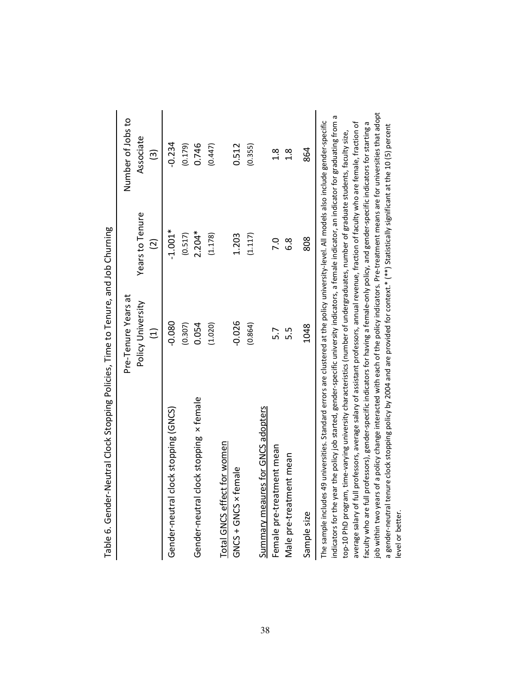| $\frac{1}{2}$                                                                                                                                               |                     | p                                                           |                   |
|-------------------------------------------------------------------------------------------------------------------------------------------------------------|---------------------|-------------------------------------------------------------|-------------------|
|                                                                                                                                                             | Pre-Tenure Years at |                                                             | Number of Jobs to |
|                                                                                                                                                             | Policy University   | Years to Tenure                                             | Associate         |
|                                                                                                                                                             | $\overline{E}$      | $\overline{2}$                                              | $\widehat{3}$     |
| clock stopping (GNCS)<br>Gender-neutral                                                                                                                     | $-0.080$            | $-1.001*$                                                   | $-0.234$          |
|                                                                                                                                                             | (0.307)             | (0.517)                                                     | (0.179)           |
| clock stopping x female<br>Gender-neutral                                                                                                                   | 0.054               | $2.204*$                                                    | 0.746             |
|                                                                                                                                                             | (1.020)             | (1.178)                                                     | (0.447)           |
| Total GNCS effect for women                                                                                                                                 |                     |                                                             |                   |
| <b>Female</b><br>GNCS + GNCS ×                                                                                                                              | $-0.026$            | 1.203                                                       | 0.512             |
|                                                                                                                                                             | (0.864)             | (1.117)                                                     | (0.355)           |
| res for GNCS adopters<br><b>Summary meau</b>                                                                                                                |                     |                                                             |                   |
| Female pre-treatment mean                                                                                                                                   | 5.7                 | 7.0                                                         | $\frac{8}{1}$     |
| Male pre-treatment mean                                                                                                                                     | 5.5                 | 6.8                                                         | $\frac{8}{1}$     |
| Sample size                                                                                                                                                 | 1048                | 808                                                         | 864               |
| The sample includes 49 universities. Standard errors are clustered at the policy university-level. All models also include gender-specific<br>$\frac{1}{2}$ |                     | $\mathbf{r}$ and $\mathbf{r}$ are the state of $\mathbf{r}$ |                   |

| )<br>:<br>;<br>ï                            |
|---------------------------------------------|
|                                             |
| I                                           |
| ין מה 1 המונח במונח מת המון.<br>j           |
|                                             |
| nning Policies<br>.<br>סְםַ<br>ב<br>2)<br>? |
| うろころうりょう                                    |
|                                             |
| i<br>1                                      |
| うらりころこ<br>.<br>۳                            |

job within two years of a policy change interacted with each of the policy indicators. Pre-treatment means are for universities that adopt job within two years of a policy change interacted with each of the policy indicators. Pre-treatment means are for universities that adopt indicators for the year the policy job started, gender-specific university indicators, a female indicator, an indicator for graduating from a indicators for the year the policy job started, gender-specific university indicators, a female indicator, an indicator for graduating from a faculty who are full professors), gender-specific indicators for having a female-only policy, and gender-specific indicators for starting a average salary of full professors, average salary of assistant professors, annual revenue, fraction of faculty who are female, fraction of average salary of full professors, average salary of assistant professors, annual revenue, fraction of faculty who are female, fraction of faculty who are full professors), gender-specific indicators for having a female-only policy, and gender-specific indicators for starting a a gender-neutral tenure clock stopping policy by 2004 and are provided for context.\* (\*\*) Statistically significant at the 10 (5) percent a gender-neutral tenure clock stopping policy by 2004 and are provided for context.\* (\*\*) Statistically significant at the 10 (5) percent top-10 PhD program, time-varying university characteristics (number of undergraduates, number of graduate students, faculty size, top-10 PhD program, time-varying university characteristics (number of undergraduates, number of graduate students, faculty size, level or better. level or better.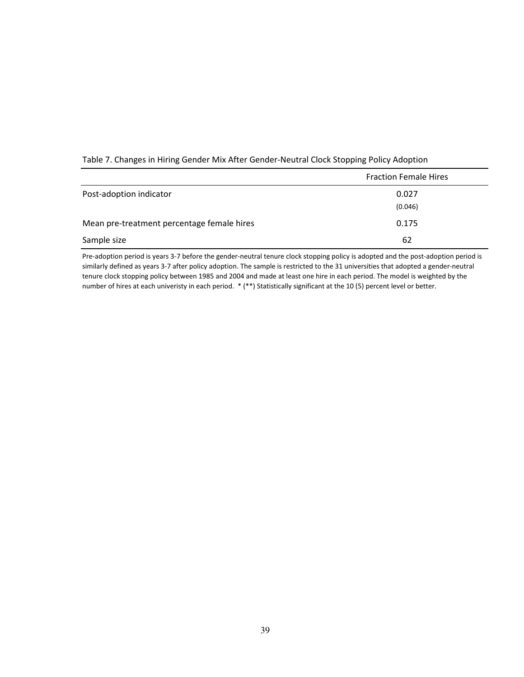|                                            | <b>Fraction Female Hires</b> |
|--------------------------------------------|------------------------------|
| Post-adoption indicator                    | 0.027                        |
|                                            | (0.046)                      |
| Mean pre-treatment percentage female hires | 0.175                        |
| Sample size                                | 62                           |

#### Table 7. Changes in Hiring Gender Mix After Gender-Neutral Clock Stopping Policy Adoption

Pre-adoption period is years 3-7 before the gender-neutral tenure clock stopping policy is adopted and the post-adoption period is similarly defined as years 3-7 after policy adoption. The sample is restricted to the 31 universities that adopted a gender-neutral tenure clock stopping policy between 1985 and 2004 and made at least one hire in each period. The model is weighted by the number of hires at each univeristy in each period. \* (\*\*) Statistically significant at the 10 (5) percent level or better.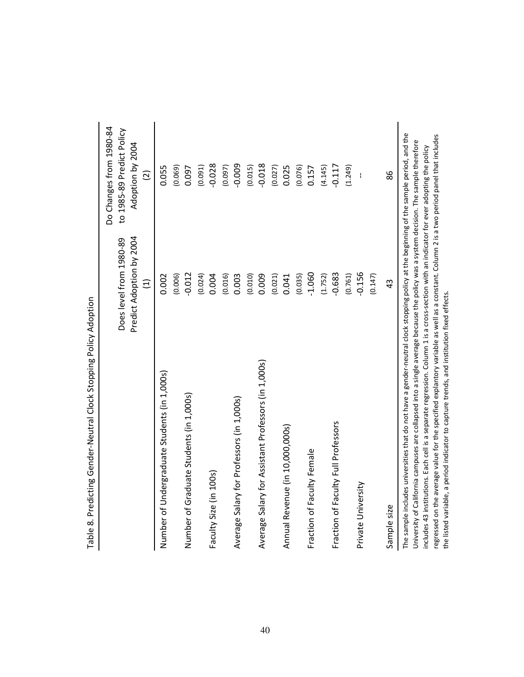|                                                                                                                                                                                                                                                                                 | Predict Adoption by 2004<br>Does level from 1980-89<br>$\widehat{\Xi}$ | Do Changes from 1980-84<br>to 1985-89 Predict Policy<br>Adoption by 2004<br>$\widehat{\Omega}$ |
|---------------------------------------------------------------------------------------------------------------------------------------------------------------------------------------------------------------------------------------------------------------------------------|------------------------------------------------------------------------|------------------------------------------------------------------------------------------------|
| Number of Undergraduate Students (in 1,000s)                                                                                                                                                                                                                                    | 0.002                                                                  | 0.055                                                                                          |
|                                                                                                                                                                                                                                                                                 | (0.006)                                                                | (0.069)                                                                                        |
| Number of Graduate Students (in 1,000s)                                                                                                                                                                                                                                         | $-0.012$                                                               | 0.097                                                                                          |
|                                                                                                                                                                                                                                                                                 | (0.024)                                                                | (0.091)                                                                                        |
| Faculty Size (in 100s)                                                                                                                                                                                                                                                          | 0.004                                                                  | $-0.028$                                                                                       |
|                                                                                                                                                                                                                                                                                 | (0.016)                                                                | (0.097)                                                                                        |
| Average Salary for Professors (in 1,000s)                                                                                                                                                                                                                                       | 0.003                                                                  | $-0.009$                                                                                       |
|                                                                                                                                                                                                                                                                                 | (0.010)                                                                | (0.015)                                                                                        |
| Average Salary for Assistant Professors (in 1,000s)                                                                                                                                                                                                                             | 0.009                                                                  | $-0.018$                                                                                       |
|                                                                                                                                                                                                                                                                                 | (0.021)                                                                | (0.027)                                                                                        |
| Annual Revenue (in 10,000,000s)                                                                                                                                                                                                                                                 | 0.041                                                                  | 0.025                                                                                          |
|                                                                                                                                                                                                                                                                                 | (0.035)                                                                | (0.076)                                                                                        |
| Fraction of Faculty Female                                                                                                                                                                                                                                                      | $-1.060$                                                               | 0.157                                                                                          |
|                                                                                                                                                                                                                                                                                 | (1.752)                                                                | (4.145)                                                                                        |
| Fraction of Faculty Full Professors                                                                                                                                                                                                                                             | $-0.683$                                                               | $-0.117$                                                                                       |
|                                                                                                                                                                                                                                                                                 | (0.761)                                                                | (1.249)                                                                                        |
| Private University                                                                                                                                                                                                                                                              | $-0.156$                                                               | $\mathbf{I}$                                                                                   |
|                                                                                                                                                                                                                                                                                 | (0.147)                                                                |                                                                                                |
| Sample size                                                                                                                                                                                                                                                                     | 43                                                                     | 86                                                                                             |
| The sample includes universities that do not have a gender-neutral clock stopping policy at the beginning of the sample period, and the<br>University of California campuses are collapsed into a single average because the policy was a system decision. The sample therefore |                                                                        |                                                                                                |

includes 43 institutions. Each cell is a separate regression. Column 1 is a cross-section with an indicator for ever adopting the policy regressed on the average value for the specified explantory variable as well as a constant. Column 2 is a two period panel that includes

regressed on the average value for the specified explantory variable as well as a constant. Column 2 is a two period panel that includes includes 43 institutions. Each cell is a separate regression. Column 1 is a cross-section with an indicator for ever adopting the policy

the listed variable, a period indicator to capture trends, and institution fixed effects.

the listed variable, a period indicator to capture trends, and institution fixed effects.

Table 8. Predicting Gender-Neutral Clock Stopping Policy Adoption Table 8. Predicting Gender-Neutral Clock Stopping Policy Adoption